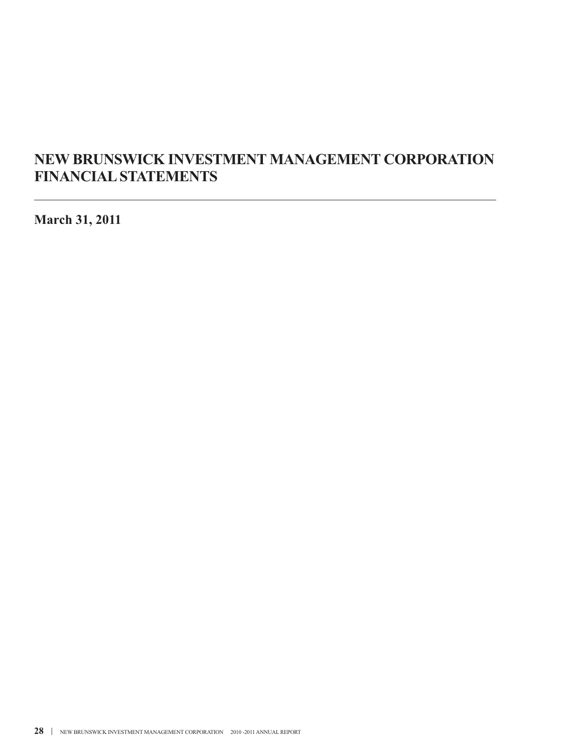# **NEW BRUNSWICK INVESTMENT MANAGEMENT CORPORATION FINANCIALSTATEMENTS**

**March 31, 2011**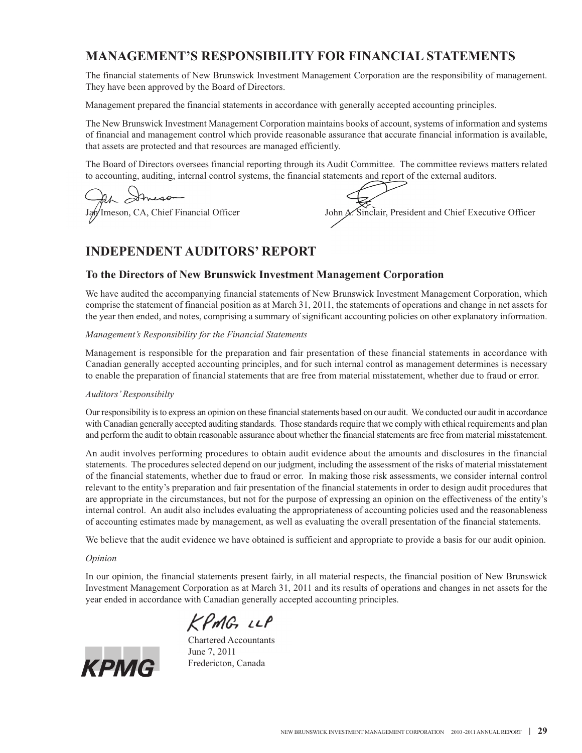# **MANAGEMENT'S RESPONSIBILITY FOR FINANCIAL STATEMENTS**

The financial statements of New Brunswick Investment Management Corporation are the responsibility of management. They have been approved by the Board of Directors.

Management prepared the financial statements in accordance with generally accepted accounting principles.

The New Brunswick Investment Management Corporation maintains books of account, systems of information and systems of financial and management control which provide reasonable assurance that accurate financial information is available, that assets are protected and that resources are managed efficiently.

The Board of Directors oversees financial reporting through its Audit Committee. The committee reviews matters related to accounting, auditing, internal control systems, the financial statements and report of the external auditors.

Jan Imeson, CA, Chief Financial Officer John A. Sinclair, President and Chief Executive Officer

# **INDEPENDENT AUDITORS' REPORT**

## **To the Directors of New Brunswick Investment Management Corporation**

We have audited the accompanying financial statements of New Brunswick Investment Management Corporation, which comprise the statement of financial position as at March 31, 2011, the statements of operations and change in net assets for the year then ended, and notes, comprising a summary of significant accounting policies on other explanatory information.

#### *Management's Responsibility for the Financial Statements*

Management is responsible for the preparation and fair presentation of these financial statements in accordance with Canadian generally accepted accounting principles, and for such internal control as management determines is necessary to enable the preparation of financial statements that are free from material misstatement, whether due to fraud or error.

#### *Auditors'Responsibilty*

Our responsibility is to express an opinion on these financial statements based on our audit. We conducted our audit in accordance with Canadian generally accepted auditing standards. Those standards require that we comply with ethical requirements and plan and perform the audit to obtain reasonable assurance about whether the financial statements are free from material misstatement.

An audit involves performing procedures to obtain audit evidence about the amounts and disclosures in the financial statements. The procedures selected depend on our judgment, including the assessment of the risks of material misstatement of the financial statements, whether due to fraud or error. In making those risk assessments, we consider internal control relevant to the entity's preparation and fair presentation of the financial statements in order to design audit procedures that are appropriate in the circumstances, but not for the purpose of expressing an opinion on the effectiveness of the entity's internal control. An audit also includes evaluating the appropriateness of accounting policies used and the reasonableness of accounting estimates made by management, as well as evaluating the overall presentation of the financial statements.

We believe that the audit evidence we have obtained is sufficient and appropriate to provide a basis for our audit opinion.

#### *Opinion*

In our opinion, the financial statements present fairly, in all material respects, the financial position of New Brunswick Investment Management Corporation as at March 31, 2011 and its results of operations and changes in net assets for the year ended in accordance with Canadian generally accepted accounting principles.

KPMG LLP



Chartered Accountants June 7, 2011 Fredericton, Canada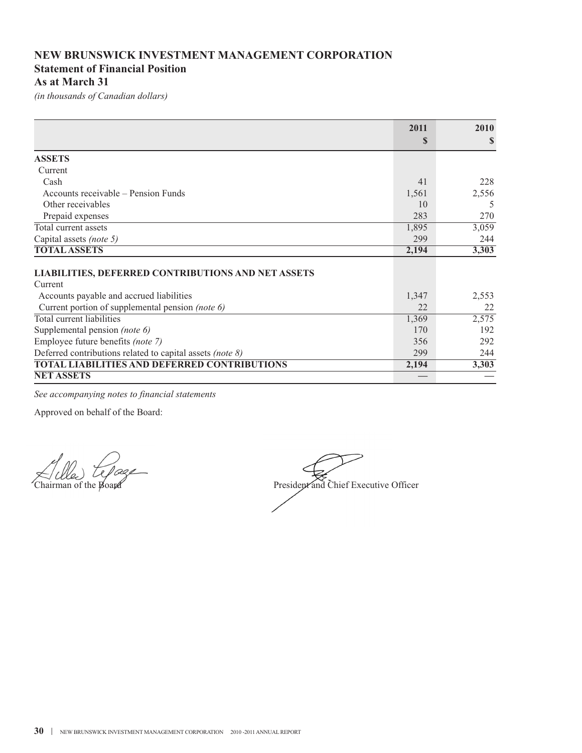# **NEW BRUNSWICK INVESTMENT MANAGEMENT CORPORATION Statement of Financial Position As at March 31**

*(in thousands of Canadian dollars)*

|                                                           | 2011        | 2010  |
|-----------------------------------------------------------|-------------|-------|
|                                                           | $\mathbf S$ | S     |
| <b>ASSETS</b>                                             |             |       |
| Current                                                   |             |       |
| Cash                                                      | 41          | 228   |
| Accounts receivable – Pension Funds                       | 1,561       | 2,556 |
| Other receivables                                         | 10          | 5     |
| Prepaid expenses                                          | 283         | 270   |
| Total current assets                                      | 1,895       | 3,059 |
| Capital assets (note 5)                                   | 299         | 244   |
| <b>TOTAL ASSETS</b>                                       | 2,194       | 3,303 |
|                                                           |             |       |
| <b>LIABILITIES, DEFERRED CONTRIBUTIONS AND NET ASSETS</b> |             |       |
| Current                                                   |             |       |
| Accounts payable and accrued liabilities                  | 1,347       | 2,553 |
| Current portion of supplemental pension (note 6)          | 22.         | 22    |
| Total current liabilities                                 | 1,369       | 2,575 |
| Supplemental pension (note 6)                             | 170         | 192   |
| Employee future benefits (note 7)                         | 356         | 292   |
| Deferred contributions related to capital assets (note 8) | 299         | 244   |
| <b>TOTAL LIABILITIES AND DEFERRED CONTRIBUTIONS</b>       | 2,194       | 3,303 |
| <b>NET ASSETS</b>                                         |             |       |

*See accompanying notes to financial statements*

Chairman of the Board President and Chief Executive Officer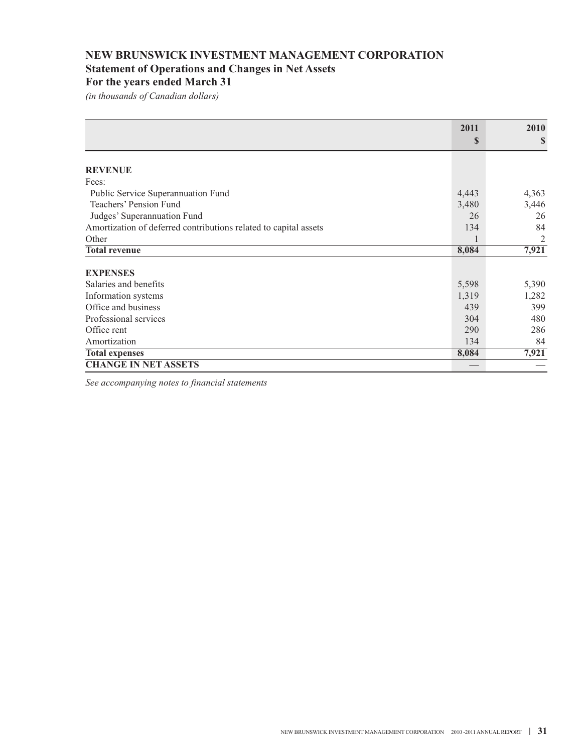# **NEW BRUNSWICK INVESTMENT MANAGEMENT CORPORATION Statement of Operations and Changes in Net Assets For the years ended March 31**

*(in thousands of Canadian dollars)*

|                                                                  | 2011  | 2010  |
|------------------------------------------------------------------|-------|-------|
|                                                                  | S     | \$    |
| <b>REVENUE</b>                                                   |       |       |
|                                                                  |       |       |
| Fees:                                                            |       |       |
| Public Service Superannuation Fund                               | 4,443 | 4,363 |
| Teachers' Pension Fund                                           | 3,480 | 3,446 |
| Judges' Superannuation Fund                                      | 26    | 26    |
| Amortization of deferred contributions related to capital assets | 134   | 84    |
| Other                                                            |       | 2     |
| <b>Total revenue</b>                                             | 8,084 | 7,921 |
| <b>EXPENSES</b>                                                  |       |       |
| Salaries and benefits                                            | 5,598 | 5,390 |
| Information systems                                              | 1,319 | 1,282 |
| Office and business                                              | 439   | 399   |
| Professional services                                            | 304   | 480   |
| Office rent                                                      | 290   | 286   |
| Amortization                                                     | 134   | 84    |
| <b>Total expenses</b>                                            | 8,084 | 7,921 |
| <b>CHANGE IN NET ASSETS</b>                                      |       |       |

*See accompanying notes to financial statements*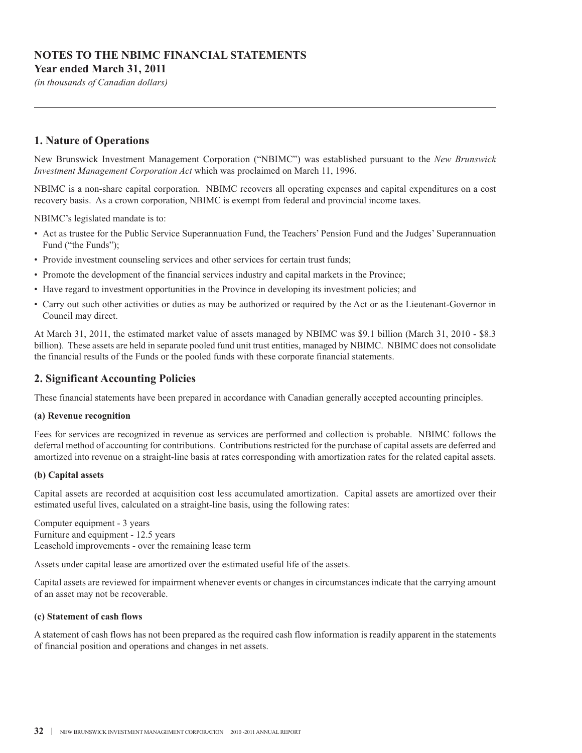## **NOTES TO THE NBIMC FINANCIAL STATEMENTS Year ended March 31, 2011**

*(in thousands of Canadian dollars)*

## **1. Nature of Operations**

New Brunswick Investment Management Corporation ("NBIMC") was established pursuant to the *New Brunswick Investment Management Corporation Act* which was proclaimed on March 11, 1996.

NBIMC is a non-share capital corporation. NBIMC recovers all operating expenses and capital expenditures on a cost recovery basis. As a crown corporation, NBIMC is exempt from federal and provincial income taxes.

NBIMC's legislated mandate is to:

- Act as trustee for the Public Service Superannuation Fund, the Teachers' Pension Fund and the Judges' Superannuation Fund ("the Funds");
- Provide investment counseling services and other services for certain trust funds;
- Promote the development of the financial services industry and capital markets in the Province;
- Have regard to investment opportunities in the Province in developing its investment policies; and
- Carry out such other activities or duties as may be authorized or required by the Act or as the Lieutenant-Governor in Council may direct.

At March 31, 2011, the estimated market value of assets managed by NBIMC was \$9.1 billion (March 31, 2010 - \$8.3 billion). These assets are held in separate pooled fund unit trust entities, managed by NBIMC. NBIMC does not consolidate the financial results of the Funds or the pooled funds with these corporate financial statements.

## **2. Significant Accounting Policies**

These financial statements have been prepared in accordance with Canadian generally accepted accounting principles.

#### **(a) Revenue recognition**

Fees for services are recognized in revenue as services are performed and collection is probable. NBIMC follows the deferral method of accounting for contributions. Contributions restricted for the purchase of capital assets are deferred and amortized into revenue on a straight-line basis at rates corresponding with amortization rates for the related capital assets.

#### **(b) Capital assets**

Capital assets are recorded at acquisition cost less accumulated amortization. Capital assets are amortized over their estimated useful lives, calculated on a straight-line basis, using the following rates:

Computer equipment - 3 years Furniture and equipment - 12.5 years Leasehold improvements - over the remaining lease term

Assets under capital lease are amortized over the estimated useful life of the assets.

Capital assets are reviewed for impairment whenever events or changes in circumstances indicate that the carrying amount of an asset may not be recoverable.

#### **(c) Statement of cash flows**

A statement of cash flows has not been prepared as the required cash flow information is readily apparent in the statements of financial position and operations and changes in net assets.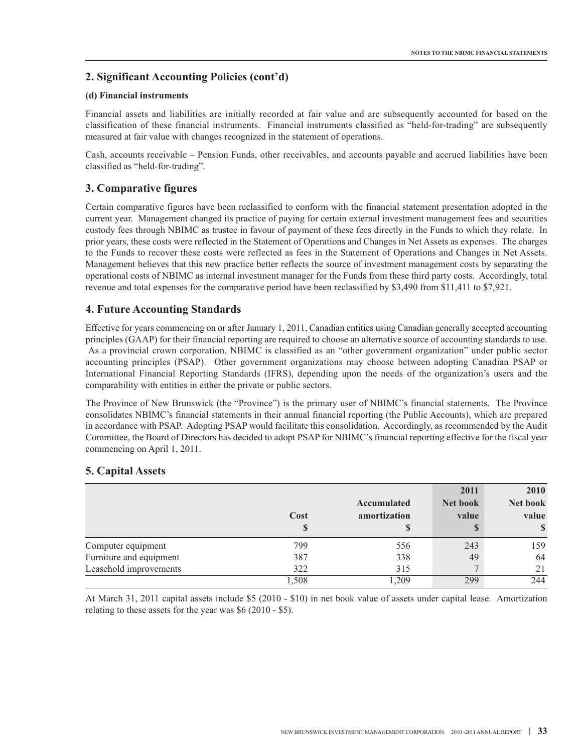## **2. Significant Accounting Policies (cont'd)**

#### **(d) Financial instruments**

Financial assets and liabilities are initially recorded at fair value and are subsequently accounted for based on the classification of these financial instruments. Financial instruments classified as "held-for-trading" are subsequently measured at fair value with changes recognized in the statement of operations.

Cash, accounts receivable – Pension Funds, other receivables, and accounts payable and accrued liabilities have been classified as "held-for-trading".

## **3. Comparative figures**

Certain comparative figures have been reclassified to conform with the financial statement presentation adopted in the current year. Management changed its practice of paying for certain external investment management fees and securities custody fees through NBIMC as trustee in favour of payment of these fees directly in the Funds to which they relate. In prior years, these costs were reflected in the Statement of Operations and Changes in Net Assets as expenses. The charges to the Funds to recover these costs were reflected as fees in the Statement of Operations and Changes in Net Assets. Management believes that this new practice better reflects the source of investment management costs by separating the operational costs of NBIMC as internal investment manager for the Funds from these third party costs. Accordingly, total revenue and total expenses for the comparative period have been reclassified by \$3,490 from \$11,411 to \$7,921.

## **4. Future Accounting Standards**

Effective for years commencing on or after January 1, 2011, Canadian entities using Canadian generally accepted accounting principles (GAAP) for their financial reporting are required to choose an alternative source of accounting standards to use. As a provincial crown corporation, NBIMC is classified as an "other government organization" under public sector accounting principles (PSAP). Other government organizations may choose between adopting Canadian PSAP or International Financial Reporting Standards (IFRS), depending upon the needs of the organization's users and the comparability with entities in either the private or public sectors.

The Province of New Brunswick (the "Province") is the primary user of NBIMC's financial statements. The Province consolidates NBIMC's financial statements in their annual financial reporting (the Public Accounts), which are prepared in accordance with PSAP. Adopting PSAP would facilitate this consolidation. Accordingly, as recommended by the Audit Committee, the Board of Directors has decided to adopt PSAP for NBIMC's financial reporting effective for the fiscal year commencing on April 1, 2011.

|                         | Cost<br>S | Accumulated<br>amortization<br>S | 2011<br>Net book<br>value | 2010<br>Net book<br>value<br><sup>S</sup> |
|-------------------------|-----------|----------------------------------|---------------------------|-------------------------------------------|
| Computer equipment      | 799       | 556                              | 243                       | 159                                       |
| Furniture and equipment | 387       | 338                              | 49                        | 64                                        |
| Leasehold improvements  | 322       | 315                              |                           | 21                                        |
|                         | 1,508     | .209                             | 299                       | 244                                       |

## **5. Capital Assets**

At March 31, 2011 capital assets include \$5 (2010 - \$10) in net book value of assets under capital lease. Amortization relating to these assets for the year was \$6 (2010 - \$5).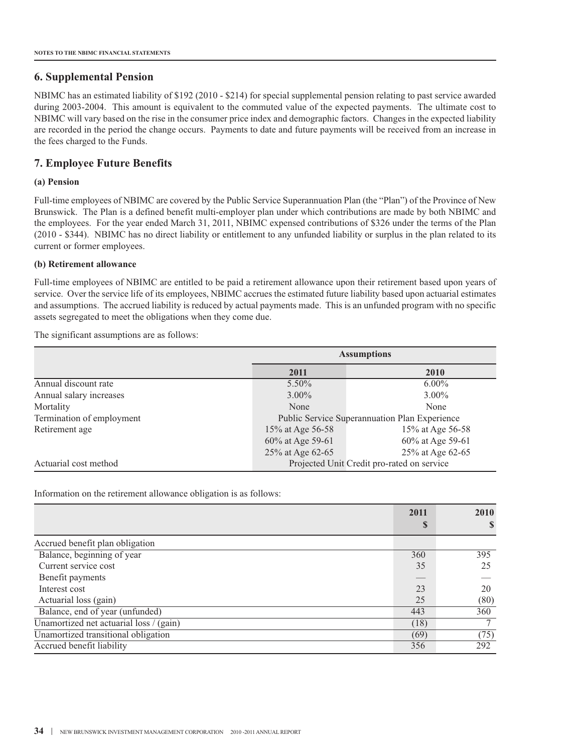### **6. Supplemental Pension**

NBIMC has an estimated liability of \$192 (2010 - \$214) for special supplemental pension relating to past service awarded during 2003-2004. This amount is equivalent to the commuted value of the expected payments. The ultimate cost to NBIMC will vary based on the rise in the consumer price index and demographic factors. Changes in the expected liability are recorded in the period the change occurs. Payments to date and future payments will be received from an increase in the fees charged to the Funds.

## **7. Employee Future Benefits**

#### **(a) Pension**

Full-time employees of NBIMC are covered by the Public Service Superannuation Plan (the "Plan") of the Province of New Brunswick. The Plan is a defined benefit multi-employer plan under which contributions are made by both NBIMC and the employees. For the year ended March 31, 2011, NBIMC expensed contributions of \$326 under the terms of the Plan (2010 - \$344). NBIMC has no direct liability or entitlement to any unfunded liability or surplus in the plan related to its current or former employees.

#### **(b) Retirement allowance**

Full-time employees of NBIMC are entitled to be paid a retirement allowance upon their retirement based upon years of service. Over the service life of its employees, NBIMC accrues the estimated future liability based upon actuarial estimates and assumptions. The accrued liability is reduced by actual payments made. This is an unfunded program with no specific assets segregated to meet the obligations when they come due.

The significant assumptions are as follows:

|                           | <b>Assumptions</b>                            |                  |  |
|---------------------------|-----------------------------------------------|------------------|--|
|                           | 2011                                          | 2010             |  |
| Annual discount rate      | $5.50\%$                                      | $6.00\%$         |  |
| Annual salary increases   | $3.00\%$                                      | $3.00\%$         |  |
| Mortality                 | None                                          | None             |  |
| Termination of employment | Public Service Superannuation Plan Experience |                  |  |
| Retirement age            | 15% at Age 56-58                              | 15% at Age 56-58 |  |
|                           | 60% at Age 59-61                              | 60% at Age 59-61 |  |
|                           | 25% at Age 62-65                              | 25% at Age 62-65 |  |
| Actuarial cost method     | Projected Unit Credit pro-rated on service    |                  |  |

Information on the retirement allowance obligation is as follows:

|                                         | 2011 | 2010 |
|-----------------------------------------|------|------|
|                                         | S    | S    |
| Accrued benefit plan obligation         |      |      |
| Balance, beginning of year              | 360  | 395  |
| Current service cost                    | 35   | 25   |
| Benefit payments                        |      |      |
| Interest cost                           | 23   | 20   |
| Actuarial loss (gain)                   | 25   | (80) |
| Balance, end of year (unfunded)         | 443  | 360  |
| Unamortized net actuarial loss / (gain) | (18) |      |
| Unamortized transitional obligation     | (69) | (75) |
| Accrued benefit liability               | 356  | 292  |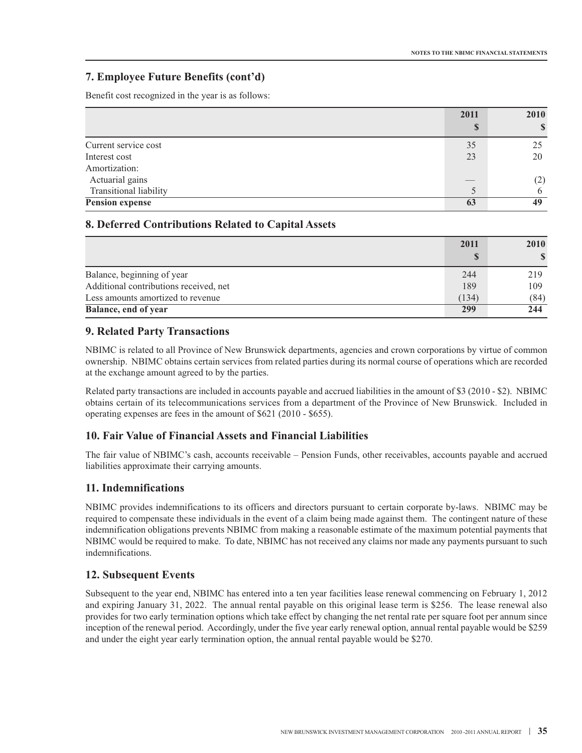## **7. Employee Future Benefits (cont'd)**

Benefit cost recognized in the year is as follows:

|                        | 2011  | 2010         |
|------------------------|-------|--------------|
|                        | S     | $\mathbb{S}$ |
| Current service cost   | 35    | 25           |
| Interest cost          | 23    | 20           |
| Amortization:          |       |              |
| Actuarial gains        | $-\,$ | (2)          |
| Transitional liability |       | 6            |
| <b>Pension expense</b> | 63    | 49           |

## **8. Deferred Contributions Related to Capital Assets**

|                                        | 2011  | 2010 |
|----------------------------------------|-------|------|
|                                        | S     |      |
| Balance, beginning of year             | 244   | 219  |
| Additional contributions received, net | 189   | 109  |
| Less amounts amortized to revenue      | (134) | (84) |
| Balance, end of year                   | 299   | 244  |

## **9. Related Party Transactions**

NBIMC is related to all Province of New Brunswick departments, agencies and crown corporations by virtue of common ownership. NBIMC obtains certain services from related parties during its normal course of operations which are recorded at the exchange amount agreed to by the parties.

Related party transactions are included in accounts payable and accrued liabilities in the amount of \$3 (2010 - \$2). NBIMC obtains certain of its telecommunications services from a department of the Province of New Brunswick. Included in operating expenses are fees in the amount of \$621 (2010 - \$655).

#### **10. Fair Value of Financial Assets and Financial Liabilities**

The fair value of NBIMC's cash, accounts receivable – Pension Funds, other receivables, accounts payable and accrued liabilities approximate their carrying amounts.

## **11. Indemnifications**

NBIMC provides indemnifications to its officers and directors pursuant to certain corporate by-laws. NBIMC may be required to compensate these individuals in the event of a claim being made against them. The contingent nature of these indemnification obligations prevents NBIMC from making a reasonable estimate of the maximum potential payments that NBIMC would be required to make. To date, NBIMC has not received any claims nor made any payments pursuant to such indemnifications.

#### **12. Subsequent Events**

Subsequent to the year end, NBIMC has entered into a ten year facilities lease renewal commencing on February 1, 2012 and expiring January 31, 2022. The annual rental payable on this original lease term is \$256. The lease renewal also provides for two early termination options which take effect by changing the net rental rate per square foot per annum since inception of the renewal period. Accordingly, under the five year early renewal option, annual rental payable would be \$259 and under the eight year early termination option, the annual rental payable would be \$270.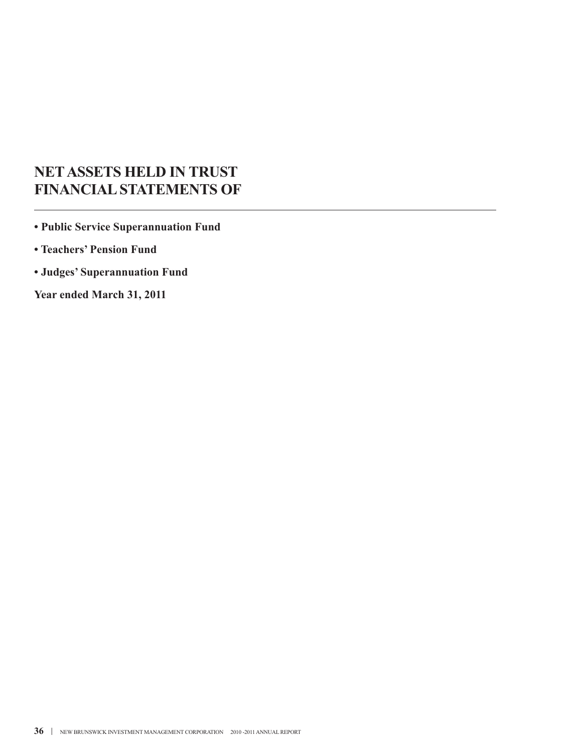# **NETASSETS HELD IN TRUST FINANCIALSTATEMENTS OF**

**• Public Service Superannuation Fund**

- **• Teachers' Pension Fund**
- **• Judges' Superannuation Fund**

**Year ended March 31, 2011**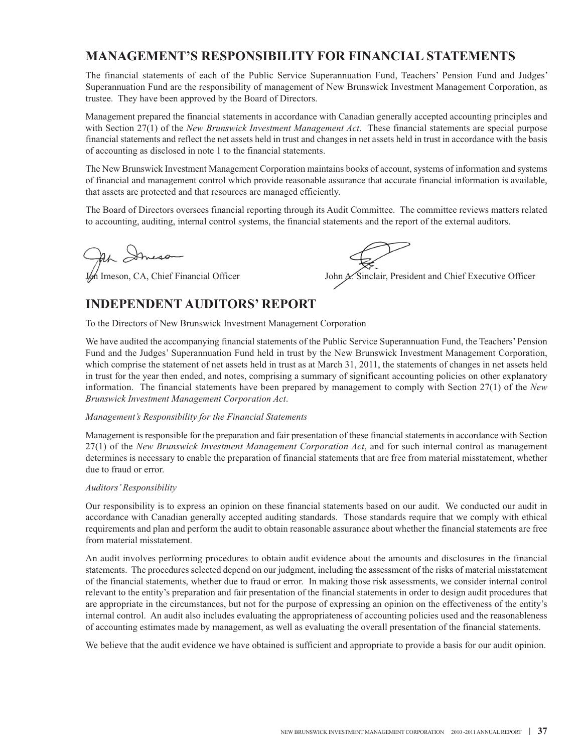# **MANAGEMENT'S RESPONSIBILITY FOR FINANCIAL STATEMENTS**

The financial statements of each of the Public Service Superannuation Fund, Teachers' Pension Fund and Judges' Superannuation Fund are the responsibility of management of New Brunswick Investment Management Corporation, as trustee. They have been approved by the Board of Directors.

Management prepared the financial statements in accordance with Canadian generally accepted accounting principles and with Section 27(1) of the *New Brunswick Investment Management Act*. These financial statements are special purpose financial statements and reflect the net assets held in trust and changes in net assets held in trust in accordance with the basis of accounting as disclosed in note 1 to the financial statements.

The New Brunswick Investment Management Corporation maintains books of account, systems of information and systems of financial and management control which provide reasonable assurance that accurate financial information is available, that assets are protected and that resources are managed efficiently.

The Board of Directors oversees financial reporting through its Audit Committee. The committee reviews matters related to accounting, auditing, internal control systems, the financial statements and the report of the external auditors.

Ah Streson

 $\mathcal{M}$  Imeson, CA, Chief Financial Officer John  $\mathcal{N}$ . Sinclair, President and Chief Executive Officer

# **INDEPENDENT AUDITORS' REPORT**

To the Directors of New Brunswick Investment Management Corporation

We have audited the accompanying financial statements of the Public Service Superannuation Fund, the Teachers' Pension Fund and the Judges' Superannuation Fund held in trust by the New Brunswick Investment Management Corporation, which comprise the statement of net assets held in trust as at March 31, 2011, the statements of changes in net assets held in trust for the year then ended, and notes, comprising a summary of significant accounting policies on other explanatory information. The financial statements have been prepared by management to comply with Section 27(1) of the *New Brunswick Investment Management Corporation Act*.

#### *Management's Responsibility for the Financial Statements*

Management is responsible for the preparation and fair presentation of these financial statements in accordance with Section 27(1) of the *New Brunswick Investment Management Corporation Act*, and for such internal control as management determines is necessary to enable the preparation of financial statements that are free from material misstatement, whether due to fraud or error.

#### *Auditors'Responsibility*

Our responsibility is to express an opinion on these financial statements based on our audit. We conducted our audit in accordance with Canadian generally accepted auditing standards. Those standards require that we comply with ethical requirements and plan and perform the audit to obtain reasonable assurance about whether the financial statements are free from material misstatement.

An audit involves performing procedures to obtain audit evidence about the amounts and disclosures in the financial statements. The procedures selected depend on our judgment, including the assessment of the risks of material misstatement of the financial statements, whether due to fraud or error. In making those risk assessments, we consider internal control relevant to the entity's preparation and fair presentation of the financial statements in order to design audit procedures that are appropriate in the circumstances, but not for the purpose of expressing an opinion on the effectiveness of the entity's internal control. An audit also includes evaluating the appropriateness of accounting policies used and the reasonableness of accounting estimates made by management, as well as evaluating the overall presentation of the financial statements.

We believe that the audit evidence we have obtained is sufficient and appropriate to provide a basis for our audit opinion.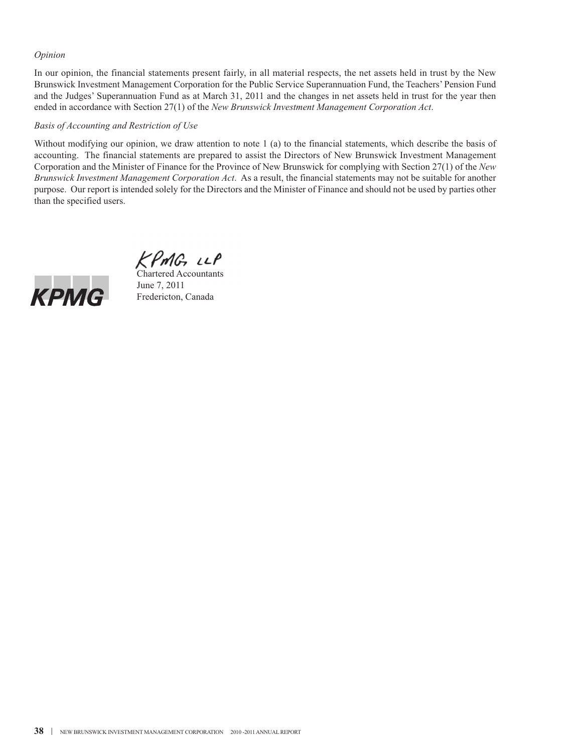#### *Opinion*

In our opinion, the financial statements present fairly, in all material respects, the net assets held in trust by the New Brunswick Investment Management Corporation for the Public Service Superannuation Fund, the Teachers' Pension Fund and the Judges' Superannuation Fund as at March 31, 2011 and the changes in net assets held in trust for the year then ended in accordance with Section 27(1) of the *New Brunswick Investment Management Corporation Act*.

#### *Basis of Accounting and Restriction of Use*

Without modifying our opinion, we draw attention to note 1 (a) to the financial statements, which describe the basis of accounting. The financial statements are prepared to assist the Directors of New Brunswick Investment Management Corporation and the Minister of Finance for the Province of New Brunswick for complying with Section 27(1) of the *New Brunswick Investment Management Corporation Act*. As a result, the financial statements may not be suitable for another purpose. Our report is intended solely for the Directors and the Minister of Finance and should not be used by parties other than the specified users.

 $KPMC$ ,  $LLP$ <br>Chartered Accountants



June 7, 2011 Fredericton, Canada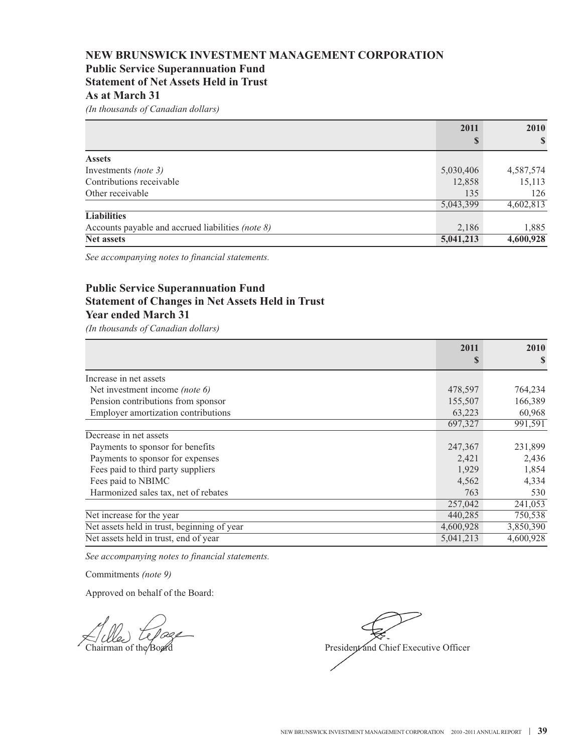## **NEW BRUNSWICK INVESTMENT MANAGEMENT CORPORATION Public Service Superannuation Fund Statement of Net Assets Held in Trust As at March 31**

*(In thousands of Canadian dollars)*

|                                                   | 2011      | 2010      |
|---------------------------------------------------|-----------|-----------|
|                                                   | S         | S         |
| <b>Assets</b>                                     |           |           |
| Investments <i>(note 3)</i>                       | 5,030,406 | 4,587,574 |
| Contributions receivable                          | 12,858    | 15,113    |
| Other receivable                                  | 135       | 126       |
|                                                   | 5,043,399 | 4,602,813 |
| <b>Liabilities</b>                                |           |           |
| Accounts payable and accrued liabilities (note 8) | 2,186     | 1,885     |
| <b>Net assets</b>                                 | 5,041,213 | 4,600,928 |

*See accompanying notes to financial statements.*

# **Public Service Superannuation Fund Statement of Changes in Net Assets Held in Trust Year ended March 31**

*(In thousands of Canadian dollars)*

|                                             | 2011<br>S | 2010<br>S |
|---------------------------------------------|-----------|-----------|
|                                             |           |           |
| Increase in net assets                      |           |           |
| Net investment income <i>(note 6)</i>       | 478,597   | 764,234   |
| Pension contributions from sponsor          | 155,507   | 166,389   |
| Employer amortization contributions         | 63,223    | 60,968    |
|                                             | 697,327   | 991,591   |
| Decrease in net assets                      |           |           |
| Payments to sponsor for benefits            | 247,367   | 231,899   |
| Payments to sponsor for expenses            | 2,421     | 2,436     |
| Fees paid to third party suppliers          | 1,929     | 1,854     |
| Fees paid to NBIMC                          | 4,562     | 4,334     |
| Harmonized sales tax, net of rebates        | 763       | 530       |
|                                             | 257,042   | 241,053   |
| Net increase for the year                   | 440,285   | 750,538   |
| Net assets held in trust, beginning of year | 4,600,928 | 3,850,390 |
| Net assets held in trust, end of year       | 5,041,213 | 4,600,928 |

*See accompanying notes to financial statements.*

Commitments *(note 9)*

Chairman of the Board President and Chief Executive Officer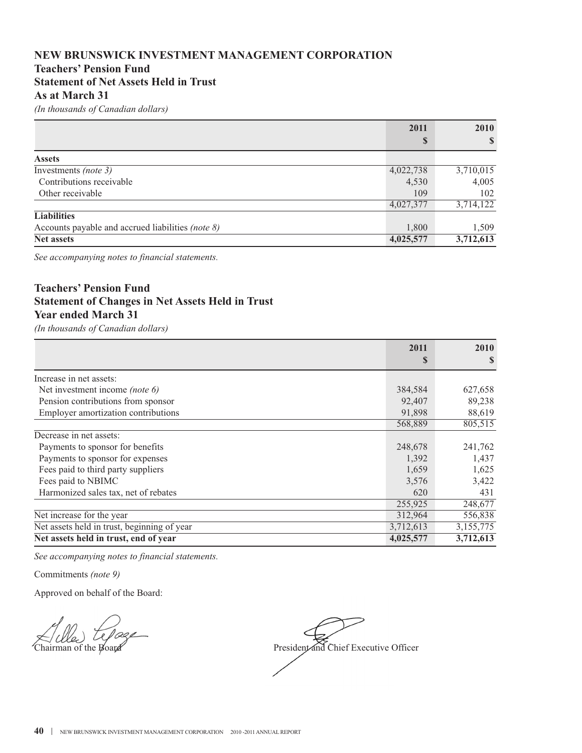# **NEW BRUNSWICK INVESTMENT MANAGEMENT CORPORATION Teachers' Pension Fund Statement of Net Assets Held in Trust As at March 31**

*(In thousands of Canadian dollars)*

|                                                   | 2011      | 2010         |
|---------------------------------------------------|-----------|--------------|
|                                                   | S         | $\mathbf{s}$ |
| <b>Assets</b>                                     |           |              |
| Investments (note 3)                              | 4,022,738 | 3,710,015    |
| Contributions receivable                          | 4,530     | 4,005        |
| Other receivable                                  | 109       | 102          |
|                                                   | 4,027,377 | 3,714,122    |
| <b>Liabilities</b>                                |           |              |
| Accounts payable and accrued liabilities (note 8) | 1,800     | 1,509        |
| <b>Net assets</b>                                 | 4,025,577 | 3,712,613    |

*See accompanying notes to financial statements.*

# **Teachers' Pension Fund Statement of Changes in Net Assets Held in Trust Year ended March 31**

*(In thousands of Canadian dollars)*

|                                             | 2011<br>S | 2010<br>\$ |
|---------------------------------------------|-----------|------------|
|                                             |           |            |
| Increase in net assets:                     |           |            |
| Net investment income (note 6)              | 384,584   | 627,658    |
| Pension contributions from sponsor          | 92,407    | 89,238     |
| Employer amortization contributions         | 91,898    | 88,619     |
|                                             | 568,889   | 805,515    |
| Decrease in net assets:                     |           |            |
| Payments to sponsor for benefits            | 248,678   | 241,762    |
| Payments to sponsor for expenses            | 1,392     | 1,437      |
| Fees paid to third party suppliers          | 1,659     | 1,625      |
| Fees paid to NBIMC                          | 3,576     | 3,422      |
| Harmonized sales tax, net of rebates        | 620       | 431        |
|                                             | 255,925   | 248,677    |
| Net increase for the year                   | 312,964   | 556,838    |
| Net assets held in trust, beginning of year | 3,712,613 | 3,155,775  |
| Net assets held in trust, end of year       | 4,025,577 | 3,712,613  |

*See accompanying notes to financial statements.*

Commitments *(note 9)*

Chairman of the Board President and Chief Executive Officer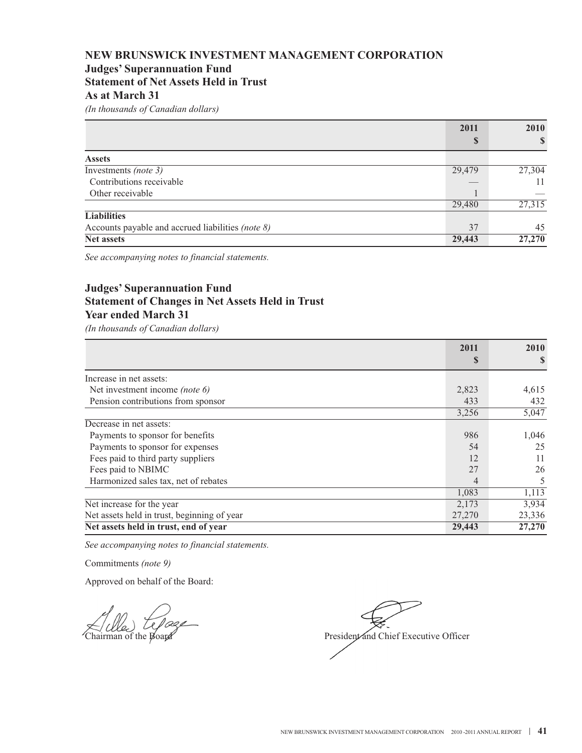# **NEW BRUNSWICK INVESTMENT MANAGEMENT CORPORATION Judges' Superannuation Fund Statement of Net Assets Held in Trust**

## **As at March 31**

*(In thousands of Canadian dollars)*

|                                                   | 2011   | <b>2010</b><br><sup>S</sup> |
|---------------------------------------------------|--------|-----------------------------|
|                                                   | S      |                             |
| <b>Assets</b>                                     |        |                             |
| Investments (note 3)                              | 29,479 | 27,304                      |
| Contributions receivable                          |        | 11                          |
| Other receivable                                  |        |                             |
|                                                   | 29,480 | 27,315                      |
| <b>Liabilities</b>                                |        |                             |
| Accounts payable and accrued liabilities (note 8) | 37     | 45                          |
| <b>Net assets</b>                                 | 29,443 | 27,270                      |

*See accompanying notes to financial statements.*

# **Judges' Superannuation Fund Statement of Changes in Net Assets Held in Trust Year ended March 31**

*(In thousands of Canadian dollars)*

|                                             | 2011   | 2010   |
|---------------------------------------------|--------|--------|
|                                             | S      |        |
| Increase in net assets:                     |        |        |
| Net investment income <i>(note 6)</i>       | 2,823  | 4,615  |
| Pension contributions from sponsor          | 433    | 432    |
|                                             | 3,256  | 5,047  |
| Decrease in net assets:                     |        |        |
| Payments to sponsor for benefits            | 986    | 1,046  |
| Payments to sponsor for expenses            | 54     | 25     |
| Fees paid to third party suppliers          | 12     | 11     |
| Fees paid to NBIMC                          | 27     | 26     |
| Harmonized sales tax, net of rebates        | 4      | 5      |
|                                             | 1,083  | 1,113  |
| Net increase for the year                   | 2,173  | 3,934  |
| Net assets held in trust, beginning of year | 27,270 | 23,336 |
| Net assets held in trust, end of year       | 29,443 | 27,270 |

*See accompanying notes to financial statements.*

Commitments *(note 9)*

Chairman of the Board President and Chief Executive Officer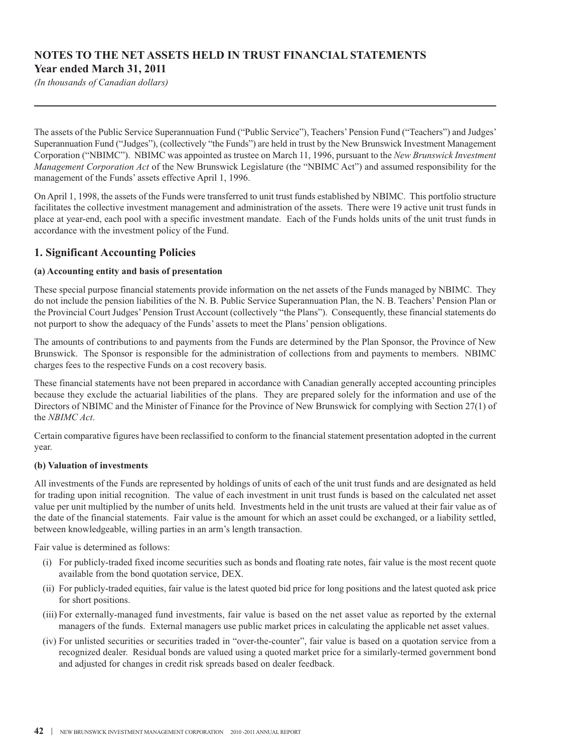# **NOTES TO THE NET ASSETS HELD IN TRUST FINANCIAL STATEMENTS Year ended March 31, 2011**

*(In thousands of Canadian dollars)*

The assets of the Public Service Superannuation Fund ("Public Service"), Teachers'Pension Fund ("Teachers") and Judges' Superannuation Fund ("Judges"), (collectively "the Funds") are held in trust by the New Brunswick Investment Management Corporation ("NBIMC"). NBIMC was appointed as trustee on March 11, 1996, pursuant to the *New Brunswick Investment Management Corporation Act* of the New Brunswick Legislature (the "NBIMC Act") and assumed responsibility for the management of the Funds' assets effective April 1, 1996.

On April 1, 1998, the assets of the Funds were transferred to unit trust funds established by NBIMC. This portfolio structure facilitates the collective investment management and administration of the assets. There were 19 active unit trust funds in place at year-end, each pool with a specific investment mandate. Each of the Funds holds units of the unit trust funds in accordance with the investment policy of the Fund.

## **1. Significant Accounting Policies**

#### **(a) Accounting entity and basis of presentation**

These special purpose financial statements provide information on the net assets of the Funds managed by NBIMC. They do not include the pension liabilities of the N. B. Public Service Superannuation Plan, the N. B. Teachers' Pension Plan or the Provincial Court Judges'Pension Trust Account (collectively "the Plans"). Consequently, these financial statements do not purport to show the adequacy of the Funds' assets to meet the Plans' pension obligations.

The amounts of contributions to and payments from the Funds are determined by the Plan Sponsor, the Province of New Brunswick. The Sponsor is responsible for the administration of collections from and payments to members. NBIMC charges fees to the respective Funds on a cost recovery basis.

These financial statements have not been prepared in accordance with Canadian generally accepted accounting principles because they exclude the actuarial liabilities of the plans. They are prepared solely for the information and use of the Directors of NBIMC and the Minister of Finance for the Province of New Brunswick for complying with Section 27(1) of the *NBIMC Act*.

Certain comparative figures have been reclassified to conform to the financial statement presentation adopted in the current year.

#### **(b) Valuation of investments**

All investments of the Funds are represented by holdings of units of each of the unit trust funds and are designated as held for trading upon initial recognition. The value of each investment in unit trust funds is based on the calculated net asset value per unit multiplied by the number of units held. Investments held in the unit trusts are valued at their fair value as of the date of the financial statements. Fair value is the amount for which an asset could be exchanged, or a liability settled, between knowledgeable, willing parties in an arm's length transaction.

Fair value is determined as follows:

- (i) For publicly-traded fixed income securities such as bonds and floating rate notes, fair value is the most recent quote available from the bond quotation service, DEX.
- (ii) For publicly-traded equities, fair value is the latest quoted bid price for long positions and the latest quoted ask price for short positions.
- (iii) For externally-managed fund investments, fair value is based on the net asset value as reported by the external managers of the funds. External managers use public market prices in calculating the applicable net asset values.
- (iv) For unlisted securities or securities traded in "over-the-counter", fair value is based on a quotation service from a recognized dealer. Residual bonds are valued using a quoted market price for a similarly-termed government bond and adjusted for changes in credit risk spreads based on dealer feedback.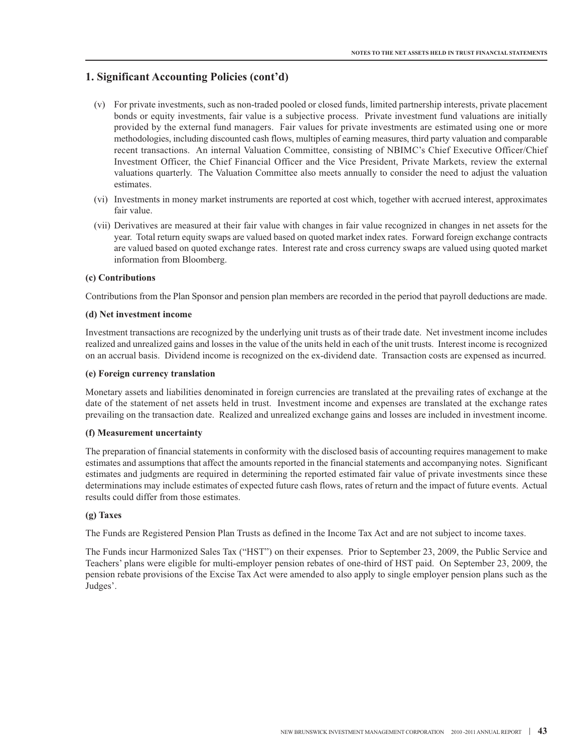# **1. Significant Accounting Policies (cont'd)**

- (v) For private investments, such as non-traded pooled or closed funds, limited partnership interests, private placement bonds or equity investments, fair value is a subjective process. Private investment fund valuations are initially provided by the external fund managers. Fair values for private investments are estimated using one or more methodologies, including discounted cash flows, multiples of earning measures, third party valuation and comparable recent transactions. An internal Valuation Committee, consisting of NBIMC's Chief Executive Officer/Chief Investment Officer, the Chief Financial Officer and the Vice President, Private Markets, review the external valuations quarterly. The Valuation Committee also meets annually to consider the need to adjust the valuation estimates.
- (vi) Investments in money market instruments are reported at cost which, together with accrued interest, approximates fair value.
- (vii) Derivatives are measured at their fair value with changes in fair value recognized in changes in net assets for the year. Total return equity swaps are valued based on quoted market index rates. Forward foreign exchange contracts are valued based on quoted exchange rates. Interest rate and cross currency swaps are valued using quoted market information from Bloomberg.

#### **(c) Contributions**

Contributions from the Plan Sponsor and pension plan members are recorded in the period that payroll deductions are made.

#### **(d) Net investment income**

Investment transactions are recognized by the underlying unit trusts as of their trade date. Net investment income includes realized and unrealized gains and losses in the value of the units held in each of the unit trusts. Interest income is recognized on an accrual basis. Dividend income is recognized on the ex-dividend date. Transaction costs are expensed as incurred.

#### **(e) Foreign currency translation**

Monetary assets and liabilities denominated in foreign currencies are translated at the prevailing rates of exchange at the date of the statement of net assets held in trust. Investment income and expenses are translated at the exchange rates prevailing on the transaction date. Realized and unrealized exchange gains and losses are included in investment income.

#### **(f) Measurement uncertainty**

The preparation of financial statements in conformity with the disclosed basis of accounting requires management to make estimates and assumptions that affect the amounts reported in the financial statements and accompanying notes. Significant estimates and judgments are required in determining the reported estimated fair value of private investments since these determinations may include estimates of expected future cash flows, rates of return and the impact of future events. Actual results could differ from those estimates.

#### **(g) Taxes**

The Funds are Registered Pension Plan Trusts as defined in the Income Tax Act and are not subject to income taxes.

The Funds incur Harmonized Sales Tax ("HST") on their expenses. Prior to September 23, 2009, the Public Service and Teachers' plans were eligible for multi-employer pension rebates of one-third of HST paid. On September 23, 2009, the pension rebate provisions of the Excise Tax Act were amended to also apply to single employer pension plans such as the Judges'.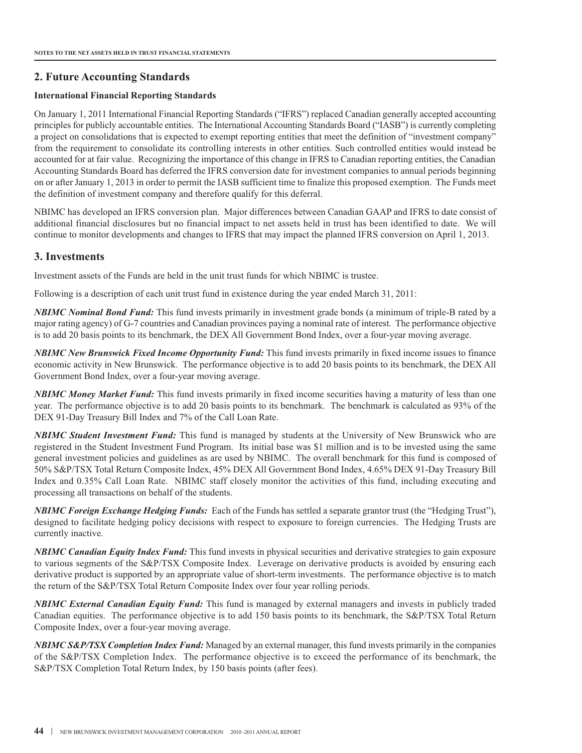## **2. Future Accounting Standards**

#### **International Financial Reporting Standards**

On January 1, 2011 International Financial Reporting Standards ("IFRS") replaced Canadian generally accepted accounting principles for publicly accountable entities. The International Accounting Standards Board ("IASB") is currently completing a project on consolidations that is expected to exempt reporting entities that meet the definition of "investment company" from the requirement to consolidate its controlling interests in other entities. Such controlled entities would instead be accounted for at fair value. Recognizing the importance of this change in IFRS to Canadian reporting entities, the Canadian Accounting Standards Board has deferred the IFRS conversion date for investment companies to annual periods beginning on or after January 1, 2013 in order to permit the IASB sufficient time to finalize this proposed exemption. The Funds meet the definition of investment company and therefore qualify for this deferral.

NBIMC has developed an IFRS conversion plan. Major differences between Canadian GAAP and IFRS to date consist of additional financial disclosures but no financial impact to net assets held in trust has been identified to date. We will continue to monitor developments and changes to IFRS that may impact the planned IFRS conversion on April 1, 2013.

## **3. Investments**

Investment assets of the Funds are held in the unit trust funds for which NBIMC is trustee.

Following is a description of each unit trust fund in existence during the year ended March 31, 2011:

*NBIMC Nominal Bond Fund:* This fund invests primarily in investment grade bonds (a minimum of triple-B rated by a major rating agency) of G-7 countries and Canadian provinces paying a nominal rate of interest. The performance objective is to add 20 basis points to its benchmark, the DEX All Government Bond Index, over a four-year moving average.

*NBIMC New Brunswick Fixed Income Opportunity Fund:* This fund invests primarily in fixed income issues to finance economic activity in New Brunswick. The performance objective is to add 20 basis points to its benchmark, the DEX All Government Bond Index, over a four-year moving average.

*NBIMC Money Market Fund:* This fund invests primarily in fixed income securities having a maturity of less than one year. The performance objective is to add 20 basis points to its benchmark. The benchmark is calculated as 93% of the DEX 91-Day Treasury Bill Index and 7% of the Call Loan Rate.

*NBIMC Student Investment Fund:* This fund is managed by students at the University of New Brunswick who are registered in the Student Investment Fund Program. Its initial base was \$1 million and is to be invested using the same general investment policies and guidelines as are used by NBIMC. The overall benchmark for this fund is composed of 50% S&P/TSX Total Return Composite Index, 45% DEX All Government Bond Index, 4.65% DEX 91-Day Treasury Bill Index and 0.35% Call Loan Rate. NBIMC staff closely monitor the activities of this fund, including executing and processing all transactions on behalf of the students.

*NBIMC Foreign Exchange Hedging Funds:* Each of the Funds has settled a separate grantor trust (the "Hedging Trust"), designed to facilitate hedging policy decisions with respect to exposure to foreign currencies. The Hedging Trusts are currently inactive.

*NBIMC Canadian Equity Index Fund:* This fund invests in physical securities and derivative strategies to gain exposure to various segments of the S&P/TSX Composite Index. Leverage on derivative products is avoided by ensuring each derivative product is supported by an appropriate value of short-term investments. The performance objective is to match the return of the S&P/TSX Total Return Composite Index over four year rolling periods.

*NBIMC External Canadian Equity Fund:* This fund is managed by external managers and invests in publicly traded Canadian equities. The performance objective is to add 150 basis points to its benchmark, the S&P/TSX Total Return Composite Index, over a four-year moving average.

*NBIMC S&P/TSX Completion Index Fund:* Managed by an external manager, this fund invests primarily in the companies of the S&P/TSX Completion Index. The performance objective is to exceed the performance of its benchmark, the S&P/TSX Completion Total Return Index, by 150 basis points (after fees).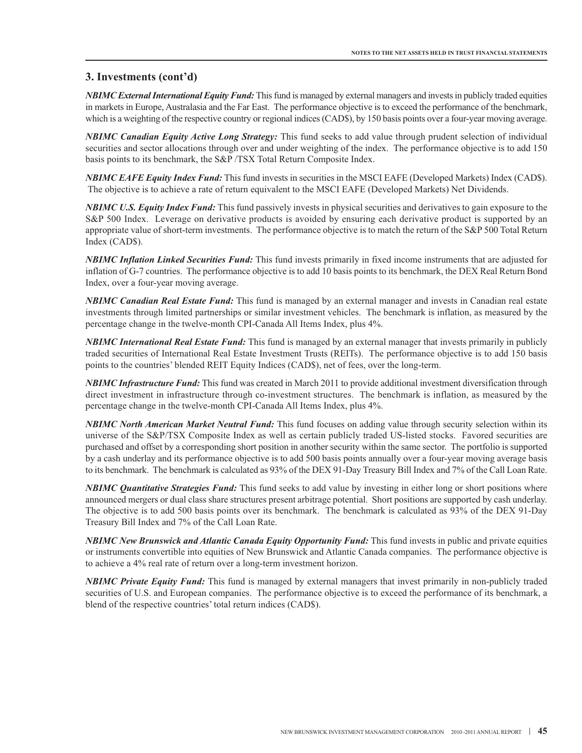*NBIMC ExternalInternational Equity Fund:* Thisfund is managed by external managers and investsin publicly traded equities in markets in Europe, Australasia and the Far East. The performance objective is to exceed the performance of the benchmark, which is a weighting of the respective country or regional indices (CAD\$), by 150 basis points over a four-year moving average.

*NBIMC Canadian Equity Active Long Strategy:* This fund seeks to add value through prudent selection of individual securities and sector allocations through over and under weighting of the index. The performance objective is to add 150 basis points to its benchmark, the S&P /TSX Total Return Composite Index.

*NBIMC EAFE Equity Index Fund:* This fund invests in securities in the MSCI EAFE (Developed Markets) Index (CAD\$). The objective is to achieve a rate of return equivalent to the MSCI EAFE (Developed Markets) Net Dividends.

*NBIMC U.S. Equity Index Fund:* This fund passively invests in physical securities and derivatives to gain exposure to the S&P 500 Index. Leverage on derivative products is avoided by ensuring each derivative product is supported by an appropriate value of short-term investments. The performance objective is to match the return of the S&P 500 Total Return Index (CAD\$).

*NBIMC Inflation Linked Securities Fund:* This fund invests primarily in fixed income instruments that are adjusted for inflation of G-7 countries. The performance objective is to add 10 basis points to its benchmark, the DEX Real Return Bond Index, over a four-year moving average.

*NBIMC Canadian Real Estate Fund:* This fund is managed by an external manager and invests in Canadian real estate investments through limited partnerships or similar investment vehicles. The benchmark is inflation, as measured by the percentage change in the twelve-month CPI-Canada All Items Index, plus 4%.

*NBIMC International Real Estate Fund:* This fund is managed by an external manager that invests primarily in publicly traded securities of International Real Estate Investment Trusts (REITs). The performance objective is to add 150 basis points to the countries' blended REIT Equity Indices (CAD\$), net of fees, over the long-term.

*NBIMC Infrastructure Fund:* This fund was created in March 2011 to provide additional investment diversification through direct investment in infrastructure through co-investment structures. The benchmark is inflation, as measured by the percentage change in the twelve-month CPI-Canada All Items Index, plus 4%.

*NBIMC North American Market Neutral Fund:* This fund focuses on adding value through security selection within its universe of the S&P/TSX Composite Index as well as certain publicly traded US-listed stocks. Favored securities are purchased and offset by a corresponding short position in another security within the same sector. The portfolio is supported by a cash underlay and its performance objective is to add 500 basis points annually over a four-year moving average basis to its benchmark. The benchmark is calculated as 93% of the DEX 91-Day Treasury Bill Index and 7% of the Call Loan Rate.

*NBIMC Quantitative Strategies Fund:* This fund seeks to add value by investing in either long or short positions where announced mergers or dual class share structures present arbitrage potential. Short positions are supported by cash underlay. The objective is to add 500 basis points over its benchmark. The benchmark is calculated as 93% of the DEX 91-Day Treasury Bill Index and 7% of the Call Loan Rate.

*NBIMC New Brunswick and Atlantic Canada Equity Opportunity Fund:* This fund invests in public and private equities or instruments convertible into equities of New Brunswick and Atlantic Canada companies. The performance objective is to achieve a 4% real rate of return over a long-term investment horizon.

*NBIMC Private Equity Fund:* This fund is managed by external managers that invest primarily in non-publicly traded securities of U.S. and European companies. The performance objective is to exceed the performance of its benchmark, a blend of the respective countries' total return indices (CAD\$).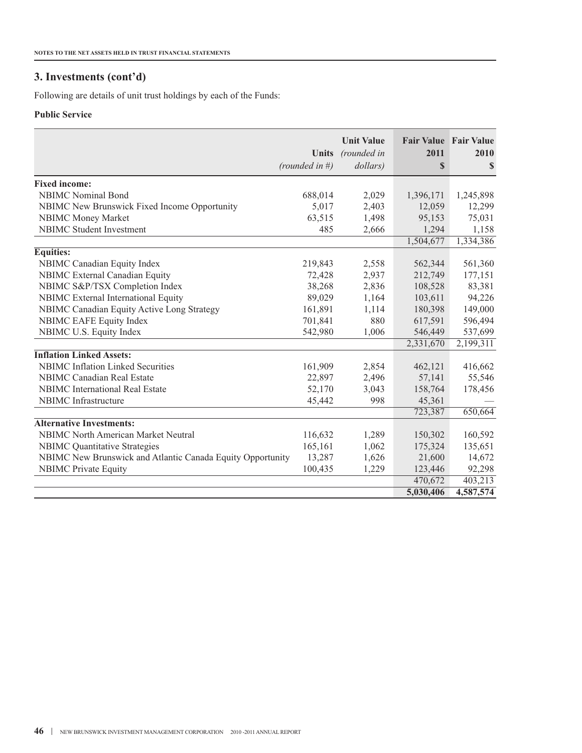Following are details of unit trust holdings by each of the Funds:

## **Public Service**

|                                                            | <b>Units</b><br>(rounded in $#$ ) | <b>Unit Value</b><br>(rounded in<br>dollars) | <b>Fair Value Fair Value</b><br>2011<br>$\mathbf S$ | 2010<br>\$ |
|------------------------------------------------------------|-----------------------------------|----------------------------------------------|-----------------------------------------------------|------------|
| <b>Fixed income:</b>                                       |                                   |                                              |                                                     |            |
| <b>NBIMC</b> Nominal Bond                                  | 688,014                           | 2,029                                        | 1,396,171                                           | 1,245,898  |
| NBIMC New Brunswick Fixed Income Opportunity               | 5,017                             | 2,403                                        | 12,059                                              | 12,299     |
| <b>NBIMC Money Market</b>                                  | 63,515                            | 1,498                                        | 95,153                                              | 75,031     |
| <b>NBIMC</b> Student Investment                            | 485                               | 2,666                                        | 1,294                                               | 1,158      |
|                                                            |                                   |                                              | 1,504,677                                           | 1,334,386  |
| <b>Equities:</b>                                           |                                   |                                              |                                                     |            |
| NBIMC Canadian Equity Index                                | 219,843                           | 2,558                                        | 562,344                                             | 561,360    |
| NBIMC External Canadian Equity                             | 72,428                            | 2,937                                        | 212,749                                             | 177,151    |
| NBIMC S&P/TSX Completion Index                             | 38,268                            | 2,836                                        | 108,528                                             | 83,381     |
| NBIMC External International Equity                        | 89,029                            | 1,164                                        | 103,611                                             | 94,226     |
| NBIMC Canadian Equity Active Long Strategy                 | 161,891                           | 1,114                                        | 180,398                                             | 149,000    |
| NBIMC EAFE Equity Index                                    | 701,841                           | 880                                          | 617,591                                             | 596,494    |
| NBIMC U.S. Equity Index                                    | 542,980                           | 1,006                                        | 546,449                                             | 537,699    |
|                                                            |                                   |                                              | 2,331,670                                           | 2,199,311  |
| <b>Inflation Linked Assets:</b>                            |                                   |                                              |                                                     |            |
| NBIMC Inflation Linked Securities                          | 161,909                           | 2,854                                        | 462,121                                             | 416,662    |
| <b>NBIMC</b> Canadian Real Estate                          | 22,897                            | 2,496                                        | 57,141                                              | 55,546     |
| <b>NBIMC</b> International Real Estate                     | 52,170                            | 3,043                                        | 158,764                                             | 178,456    |
| NBIMC Infrastructure                                       | 45,442                            | 998                                          | 45,361                                              |            |
|                                                            |                                   |                                              | 723,387                                             | 650,664    |
| <b>Alternative Investments:</b>                            |                                   |                                              |                                                     |            |
| <b>NBIMC North American Market Neutral</b>                 | 116,632                           | 1,289                                        | 150,302                                             | 160,592    |
| <b>NBIMC</b> Quantitative Strategies                       | 165,161                           | 1,062                                        | 175,324                                             | 135,651    |
| NBIMC New Brunswick and Atlantic Canada Equity Opportunity | 13,287                            | 1,626                                        | 21,600                                              | 14,672     |
| <b>NBIMC Private Equity</b>                                | 100,435                           | 1,229                                        | 123,446                                             | 92,298     |
|                                                            |                                   |                                              | 470,672                                             | 403,213    |
|                                                            |                                   |                                              | 5,030,406                                           | 4,587,574  |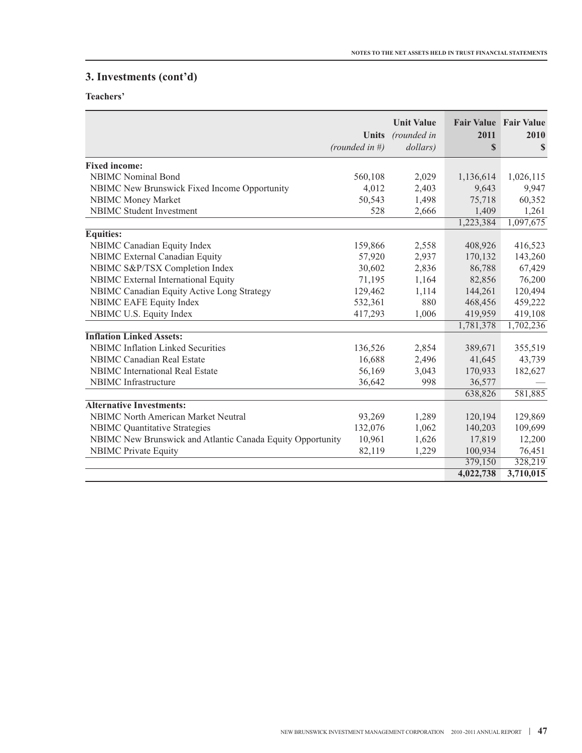**Teachers'**

|                                                            | <b>Units</b><br>(rounded in #) | <b>Unit Value</b><br>(rounded in<br>dollars) | Fair Value Fair Value<br>2011<br>$\mathbf S$ | 2010<br>S |
|------------------------------------------------------------|--------------------------------|----------------------------------------------|----------------------------------------------|-----------|
| <b>Fixed income:</b>                                       |                                |                                              |                                              |           |
| <b>NBIMC</b> Nominal Bond                                  | 560,108                        | 2,029                                        | 1,136,614                                    | 1,026,115 |
| NBIMC New Brunswick Fixed Income Opportunity               | 4,012                          | 2,403                                        | 9,643                                        | 9,947     |
| <b>NBIMC Money Market</b>                                  | 50,543                         | 1,498                                        | 75,718                                       | 60,352    |
| <b>NBIMC</b> Student Investment                            | 528                            | 2,666                                        | 1,409                                        | 1,261     |
|                                                            |                                |                                              | 1,223,384                                    | 1,097,675 |
| Equities:                                                  |                                |                                              |                                              |           |
| <b>NBIMC</b> Canadian Equity Index                         | 159,866                        | 2,558                                        | 408,926                                      | 416,523   |
| <b>NBIMC</b> External Canadian Equity                      | 57,920                         | 2,937                                        | 170,132                                      | 143,260   |
| NBIMC S&P/TSX Completion Index                             | 30,602                         | 2,836                                        | 86,788                                       | 67,429    |
| NBIMC External International Equity                        | 71,195                         | 1,164                                        | 82,856                                       | 76,200    |
| NBIMC Canadian Equity Active Long Strategy                 | 129,462                        | 1,114                                        | 144,261                                      | 120,494   |
| <b>NBIMC EAFE Equity Index</b>                             | 532,361                        | 880                                          | 468,456                                      | 459,222   |
| NBIMC U.S. Equity Index                                    | 417,293                        | 1,006                                        | 419,959                                      | 419,108   |
|                                                            |                                |                                              | 1,781,378                                    | 1,702,236 |
| <b>Inflation Linked Assets:</b>                            |                                |                                              |                                              |           |
| <b>NBIMC</b> Inflation Linked Securities                   | 136,526                        | 2,854                                        | 389,671                                      | 355,519   |
| <b>NBIMC Canadian Real Estate</b>                          | 16,688                         | 2,496                                        | 41,645                                       | 43,739    |
| <b>NBIMC</b> International Real Estate                     | 56,169                         | 3,043                                        | 170,933                                      | 182,627   |
| <b>NBIMC</b> Infrastructure                                | 36,642                         | 998                                          | 36,577                                       |           |
|                                                            |                                |                                              | 638,826                                      | 581,885   |
| <b>Alternative Investments:</b>                            |                                |                                              |                                              |           |
| <b>NBIMC North American Market Neutral</b>                 | 93,269                         | 1,289                                        | 120,194                                      | 129,869   |
| <b>NBIMC</b> Quantitative Strategies                       | 132,076                        | 1,062                                        | 140,203                                      | 109,699   |
| NBIMC New Brunswick and Atlantic Canada Equity Opportunity | 10,961                         | 1,626                                        | 17,819                                       | 12,200    |
| <b>NBIMC</b> Private Equity                                | 82,119                         | 1,229                                        | 100,934                                      | 76,451    |
|                                                            |                                |                                              | 379,150                                      | 328,219   |
|                                                            |                                |                                              | 4,022,738                                    | 3,710,015 |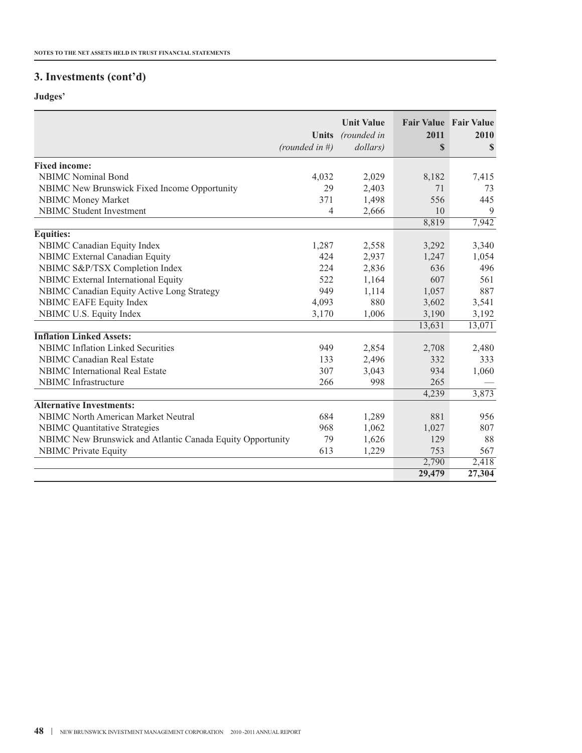# **Judges'**

|                                                            | <b>Units</b><br>(rounded in $#$ ) | <b>Unit Value</b><br>(rounded in<br>dollars) | <b>Fair Value Fair Value</b><br>2011<br>$\mathbf S$ | 2010<br>S |
|------------------------------------------------------------|-----------------------------------|----------------------------------------------|-----------------------------------------------------|-----------|
| <b>Fixed income:</b>                                       |                                   |                                              |                                                     |           |
| <b>NBIMC</b> Nominal Bond                                  | 4,032                             | 2,029                                        | 8,182                                               | 7,415     |
| NBIMC New Brunswick Fixed Income Opportunity               | 29                                | 2,403                                        | 71                                                  | 73        |
| <b>NBIMC Money Market</b>                                  | 371                               | 1,498                                        | 556                                                 | 445       |
| <b>NBIMC</b> Student Investment                            | 4                                 | 2,666                                        | 10                                                  | 9         |
|                                                            |                                   |                                              | 8,819                                               | 7,942     |
| <b>Equities:</b>                                           |                                   |                                              |                                                     |           |
| NBIMC Canadian Equity Index                                | 1,287                             | 2,558                                        | 3,292                                               | 3,340     |
| NBIMC External Canadian Equity                             | 424                               | 2,937                                        | 1,247                                               | 1,054     |
| NBIMC S&P/TSX Completion Index                             | 224                               | 2,836                                        | 636                                                 | 496       |
| NBIMC External International Equity                        | 522                               | 1,164                                        | 607                                                 | 561       |
| NBIMC Canadian Equity Active Long Strategy                 | 949                               | 1,114                                        | 1,057                                               | 887       |
| NBIMC EAFE Equity Index                                    | 4,093                             | 880                                          | 3,602                                               | 3,541     |
| NBIMC U.S. Equity Index                                    | 3,170                             | 1,006                                        | 3,190                                               | 3,192     |
|                                                            |                                   |                                              | 13,631                                              | 13,071    |
| <b>Inflation Linked Assets:</b>                            |                                   |                                              |                                                     |           |
| <b>NBIMC</b> Inflation Linked Securities                   | 949                               | 2,854                                        | 2,708                                               | 2,480     |
| NBIMC Canadian Real Estate                                 | 133                               | 2,496                                        | 332                                                 | 333       |
| <b>NBIMC</b> International Real Estate                     | 307                               | 3,043                                        | 934                                                 | 1,060     |
| NBIMC Infrastructure                                       | 266                               | 998                                          | 265                                                 |           |
|                                                            |                                   |                                              | 4,239                                               | 3,873     |
| <b>Alternative Investments:</b>                            |                                   |                                              |                                                     |           |
| <b>NBIMC North American Market Neutral</b>                 | 684                               | 1,289                                        | 881                                                 | 956       |
| <b>NBIMC</b> Quantitative Strategies                       | 968                               | 1,062                                        | 1,027                                               | 807       |
| NBIMC New Brunswick and Atlantic Canada Equity Opportunity | 79                                | 1,626                                        | 129                                                 | 88        |
| <b>NBIMC</b> Private Equity                                | 613                               | 1,229                                        | 753                                                 | 567       |
|                                                            |                                   |                                              | 2,790                                               | 2,418     |
|                                                            |                                   |                                              | 29,479                                              | 27,304    |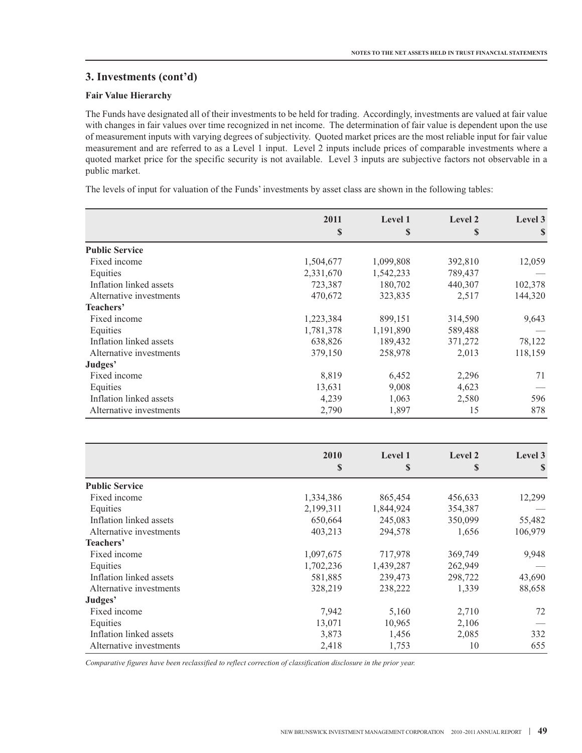#### **Fair Value Hierarchy**

The Funds have designated all of their investments to be held for trading. Accordingly, investments are valued at fair value with changes in fair values over time recognized in net income. The determination of fair value is dependent upon the use of measurement inputs with varying degrees of subjectivity. Quoted market prices are the most reliable input for fair value measurement and are referred to as a Level 1 input. Level 2 inputs include prices of comparable investments where a quoted market price for the specific security is not available. Level 3 inputs are subjective factors not observable in a public market.

The levels of input for valuation of the Funds' investments by asset class are shown in the following tables:

|                         | 2011      | Level 1   | Level 2 | Level 3 |
|-------------------------|-----------|-----------|---------|---------|
|                         | \$        | \$        | S       | S       |
| <b>Public Service</b>   |           |           |         |         |
| Fixed income            | 1,504,677 | 1,099,808 | 392,810 | 12,059  |
| Equities                | 2,331,670 | 1,542,233 | 789,437 |         |
| Inflation linked assets | 723,387   | 180,702   | 440,307 | 102,378 |
| Alternative investments | 470,672   | 323,835   | 2,517   | 144,320 |
| Teachers'               |           |           |         |         |
| Fixed income            | 1,223,384 | 899,151   | 314,590 | 9,643   |
| Equities                | 1,781,378 | 1,191,890 | 589,488 |         |
| Inflation linked assets | 638,826   | 189,432   | 371,272 | 78,122  |
| Alternative investments | 379,150   | 258,978   | 2,013   | 118,159 |
| Judges'                 |           |           |         |         |
| Fixed income            | 8,819     | 6,452     | 2,296   | 71      |
| Equities                | 13,631    | 9,008     | 4,623   |         |
| Inflation linked assets | 4,239     | 1,063     | 2,580   | 596     |
| Alternative investments | 2,790     | 1,897     | 15      | 878     |

|                         | 2010<br>\$ | Level 1<br>\$ | Level 2<br>\$ | Level 3<br>\$ |  |
|-------------------------|------------|---------------|---------------|---------------|--|
|                         |            |               |               |               |  |
| <b>Public Service</b>   |            |               |               |               |  |
| Fixed income            | 1,334,386  | 865,454       | 456,633       | 12,299        |  |
| Equities                | 2,199,311  | 1,844,924     | 354,387       |               |  |
| Inflation linked assets | 650,664    | 245,083       | 350,099       | 55,482        |  |
| Alternative investments | 403,213    | 294,578       | 1,656         | 106,979       |  |
| Teachers'               |            |               |               |               |  |
| Fixed income            | 1,097,675  | 717,978       | 369,749       | 9,948         |  |
| Equities                | 1,702,236  | 1,439,287     | 262,949       |               |  |
| Inflation linked assets | 581,885    | 239,473       | 298,722       | 43,690        |  |
| Alternative investments | 328,219    | 238,222       | 1,339         | 88,658        |  |
| Judges'                 |            |               |               |               |  |
| Fixed income            | 7,942      | 5,160         | 2,710         | 72            |  |
| Equities                | 13,071     | 10,965        | 2,106         |               |  |
| Inflation linked assets | 3,873      | 1,456         | 2,085         | 332           |  |
| Alternative investments | 2,418      | 1,753         | 10            | 655           |  |

*Comparative figures have been reclassified to reflect correction of classification disclosure in the prior year.*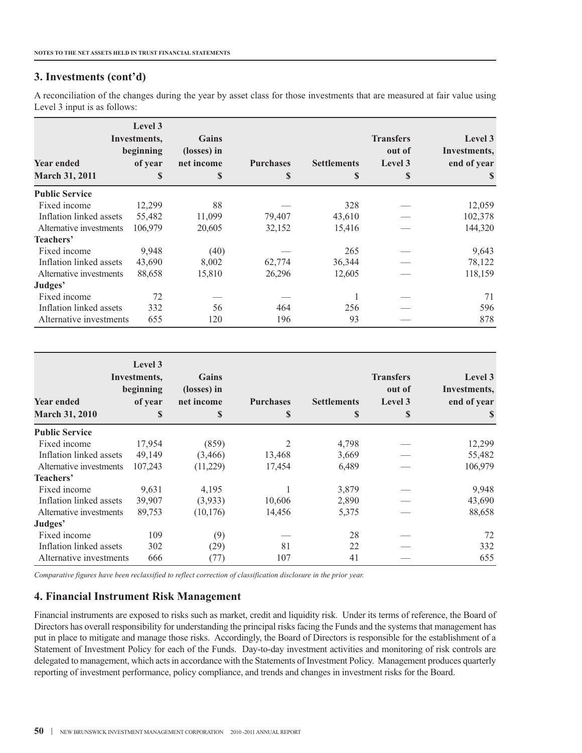A reconciliation of the changes during the year by asset class for those investments that are measured at fair value using Level 3 input is as follows:

| <b>Year ended</b><br><b>March 31, 2011</b> | Level 3<br>Investments,<br>beginning<br>of year<br>S | Gains<br>(losses) in<br>net income<br>\$ | <b>Purchases</b><br>S | <b>Settlements</b><br>S | <b>Transfers</b><br>out of<br>Level 3<br>S | Level 3<br>Investments,<br>end of year<br>S |
|--------------------------------------------|------------------------------------------------------|------------------------------------------|-----------------------|-------------------------|--------------------------------------------|---------------------------------------------|
| <b>Public Service</b>                      |                                                      |                                          |                       |                         |                                            |                                             |
| Fixed income                               | 12,299                                               | 88                                       |                       | 328                     |                                            | 12,059                                      |
| Inflation linked assets                    | 55,482                                               | 11,099                                   | 79,407                | 43,610                  |                                            | 102,378                                     |
| Alternative investments                    | 106,979                                              | 20,605                                   | 32,152                | 15,416                  |                                            | 144,320                                     |
| Teachers'                                  |                                                      |                                          |                       |                         |                                            |                                             |
| Fixed income                               | 9,948                                                | (40)                                     |                       | 265                     |                                            | 9,643                                       |
| Inflation linked assets                    | 43,690                                               | 8,002                                    | 62,774                | 36,344                  |                                            | 78,122                                      |
| Alternative investments                    | 88,658                                               | 15,810                                   | 26,296                | 12,605                  |                                            | 118,159                                     |
| Judges'                                    |                                                      |                                          |                       |                         |                                            |                                             |
| Fixed income                               | 72                                                   |                                          |                       |                         |                                            | 71                                          |
| Inflation linked assets                    | 332                                                  | 56                                       | 464                   | 256                     |                                            | 596                                         |
| Alternative investments                    | 655                                                  | 120                                      | 196                   | 93                      |                                            | 878                                         |

| <b>Year ended</b><br><b>March 31, 2010</b> | Level 3<br>Investments,<br>beginning<br>of year<br>S | Gains<br>(losses) in<br>net income<br>\$ | <b>Purchases</b><br>\$ | <b>Settlements</b><br>\$ | <b>Transfers</b><br>out of<br>Level 3<br>\$ | Level 3<br>Investments,<br>end of year<br>S |
|--------------------------------------------|------------------------------------------------------|------------------------------------------|------------------------|--------------------------|---------------------------------------------|---------------------------------------------|
| <b>Public Service</b>                      |                                                      |                                          |                        |                          |                                             |                                             |
| Fixed income                               | 17,954                                               | (859)                                    |                        | 4,798                    |                                             | 12,299                                      |
| Inflation linked assets                    | 49,149                                               | (3, 466)                                 | 13,468                 | 3,669                    |                                             | 55,482                                      |
| Alternative investments                    | 107,243                                              | (11,229)                                 | 17,454                 | 6,489                    |                                             | 106,979                                     |
| Teachers'                                  |                                                      |                                          |                        |                          |                                             |                                             |
| Fixed income                               | 9,631                                                | 4,195                                    |                        | 3,879                    |                                             | 9,948                                       |
| Inflation linked assets                    | 39,907                                               | (3,933)                                  | 10,606                 | 2,890                    |                                             | 43,690                                      |
| Alternative investments                    | 89,753                                               | (10, 176)                                | 14,456                 | 5,375                    |                                             | 88,658                                      |
| Judges'                                    |                                                      |                                          |                        |                          |                                             |                                             |
| Fixed income                               | 109                                                  | (9)                                      |                        | 28                       |                                             | 72                                          |
| Inflation linked assets                    | 302                                                  | (29)                                     | 81                     | 22                       |                                             | 332                                         |
| Alternative investments                    | 666                                                  | (77)                                     | 107                    | 41                       |                                             | 655                                         |

*Comparative figures have been reclassified to reflect correction of classification disclosure in the prior year.*

## **4. Financial Instrument Risk Management**

Financial instruments are exposed to risks such as market, credit and liquidity risk. Under its terms of reference, the Board of Directors has overall responsibility for understanding the principal risks facing the Funds and the systems that management has put in place to mitigate and manage those risks. Accordingly, the Board of Directors is responsible for the establishment of a Statement of Investment Policy for each of the Funds. Day-to-day investment activities and monitoring of risk controls are delegated to management, which actsin accordance with the Statements of Investment Policy. Management produces quarterly reporting of investment performance, policy compliance, and trends and changes in investment risks for the Board.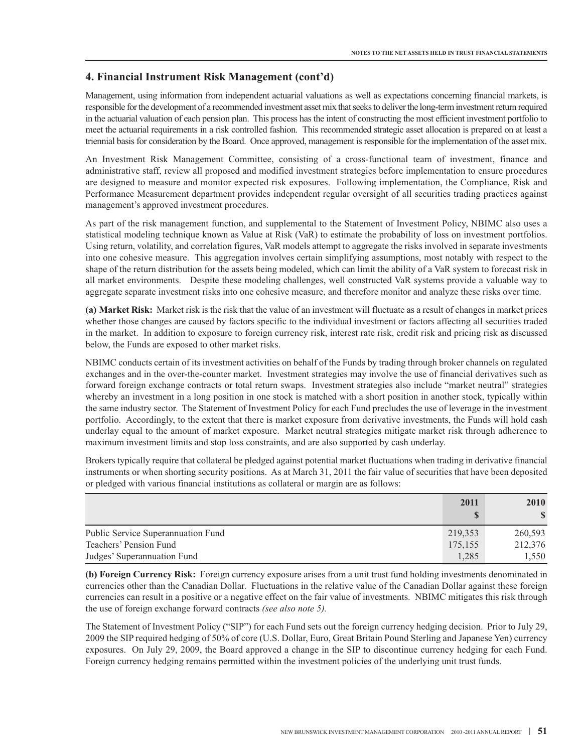Management, using information from independent actuarial valuations as well as expectations concerning financial markets, is responsible for the development of a recommended investment asset mix that seeks to deliver the long-term investment return required in the actuarial valuation of each pension plan. This process hasthe intent of constructing the most efficient investment portfolio to meet the actuarial requirements in a risk controlled fashion. This recommended strategic asset allocation is prepared on at least a triennial basis for consideration by the Board. Once approved, management is responsible for the implementation of the asset mix.

An Investment Risk Management Committee, consisting of a cross-functional team of investment, finance and administrative staff, review all proposed and modified investment strategies before implementation to ensure procedures are designed to measure and monitor expected risk exposures. Following implementation, the Compliance, Risk and Performance Measurement department provides independent regular oversight of all securities trading practices against management's approved investment procedures.

As part of the risk management function, and supplemental to the Statement of Investment Policy, NBIMC also uses a statistical modeling technique known as Value at Risk (VaR) to estimate the probability of loss on investment portfolios. Using return, volatility, and correlation figures, VaR models attempt to aggregate the risks involved in separate investments into one cohesive measure. This aggregation involves certain simplifying assumptions, most notably with respect to the shape of the return distribution for the assets being modeled, which can limit the ability of a VaR system to forecast risk in all market environments. Despite these modeling challenges, well constructed VaR systems provide a valuable way to aggregate separate investment risks into one cohesive measure, and therefore monitor and analyze these risks over time.

**(a) Market Risk:** Market risk is the risk that the value of an investment will fluctuate as a result of changes in market prices whether those changes are caused by factors specific to the individual investment or factors affecting all securities traded in the market. In addition to exposure to foreign currency risk, interest rate risk, credit risk and pricing risk as discussed below, the Funds are exposed to other market risks.

NBIMC conducts certain of its investment activities on behalf of the Funds by trading through broker channels on regulated exchanges and in the over-the-counter market. Investment strategies may involve the use of financial derivatives such as forward foreign exchange contracts or total return swaps. Investment strategies also include "market neutral" strategies whereby an investment in a long position in one stock is matched with a short position in another stock, typically within the same industry sector. The Statement of Investment Policy for each Fund precludes the use of leverage in the investment portfolio. Accordingly, to the extent that there is market exposure from derivative investments, the Funds will hold cash underlay equal to the amount of market exposure. Market neutral strategies mitigate market risk through adherence to maximum investment limits and stop loss constraints, and are also supported by cash underlay.

Brokers typically require that collateral be pledged against potential market fluctuations when trading in derivative financial instruments or when shorting security positions. As at March 31, 2011 the fair value of securities that have been deposited or pledged with various financial institutions as collateral or margin are as follows:

|                                    | 2011        | <b>2010</b> |
|------------------------------------|-------------|-------------|
|                                    | $\mathbf C$ |             |
| Public Service Superannuation Fund | 219,353     | 260,593     |
| Teachers' Pension Fund             | 175,155     | 212,376     |
| Judges' Superannuation Fund        | 1,285       | 1,550       |

**(b) Foreign Currency Risk:** Foreign currency exposure arises from a unit trust fund holding investments denominated in currencies other than the Canadian Dollar. Fluctuations in the relative value of the Canadian Dollar against these foreign currencies can result in a positive or a negative effect on the fair value of investments. NBIMC mitigates this risk through the use of foreign exchange forward contracts *(see also note 5).*

The Statement of Investment Policy ("SIP") for each Fund sets out the foreign currency hedging decision. Prior to July 29, 2009 the SIP required hedging of 50% of core (U.S. Dollar, Euro, Great Britain Pound Sterling and Japanese Yen) currency exposures. On July 29, 2009, the Board approved a change in the SIP to discontinue currency hedging for each Fund. Foreign currency hedging remains permitted within the investment policies of the underlying unit trust funds.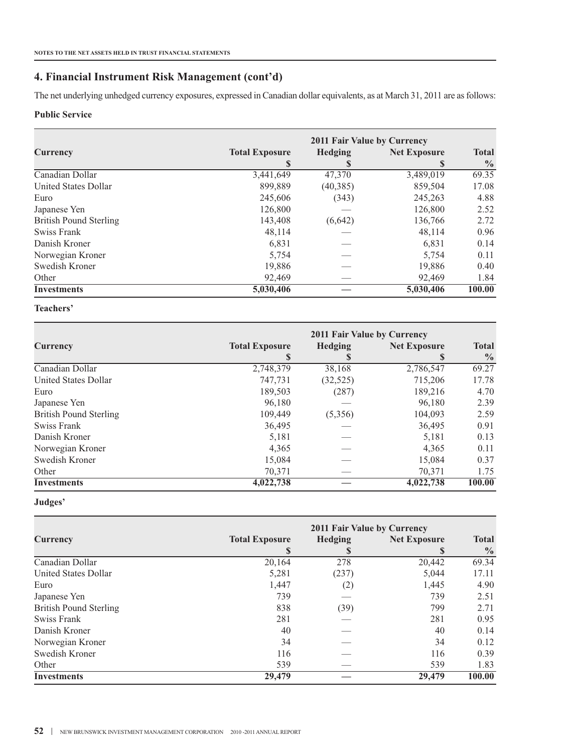The net underlying unhedged currency exposures, expressed in Canadian dollar equivalents, as at March 31, 2011 are as follows:

#### **Public Service**

|                               | 2011 Fair Value by Currency |                |                     |               |  |  |  |
|-------------------------------|-----------------------------|----------------|---------------------|---------------|--|--|--|
| Currency                      | <b>Total Exposure</b>       | <b>Hedging</b> | <b>Net Exposure</b> | <b>Total</b>  |  |  |  |
|                               | S                           |                |                     | $\frac{0}{0}$ |  |  |  |
| Canadian Dollar               | 3,441,649                   | 47,370         | 3,489,019           | 69.35         |  |  |  |
| United States Dollar          | 899,889                     | (40, 385)      | 859,504             | 17.08         |  |  |  |
| Euro                          | 245,606                     | (343)          | 245,263             | 4.88          |  |  |  |
| Japanese Yen                  | 126,800                     |                | 126,800             | 2.52          |  |  |  |
| <b>British Pound Sterling</b> | 143,408                     | (6,642)        | 136,766             | 2.72          |  |  |  |
| Swiss Frank                   | 48,114                      |                | 48,114              | 0.96          |  |  |  |
| Danish Kroner                 | 6,831                       |                | 6,831               | 0.14          |  |  |  |
| Norwegian Kroner              | 5,754                       |                | 5.754               | 0.11          |  |  |  |
| Swedish Kroner                | 19,886                      |                | 19,886              | 0.40          |  |  |  |
| Other                         | 92,469                      |                | 92,469              | 1.84          |  |  |  |
| <b>Investments</b>            | 5,030,406                   |                | 5.030.406           | 100.00        |  |  |  |

## **Teachers'**

|                               | 2011 Fair Value by Currency |                |                     |               |  |
|-------------------------------|-----------------------------|----------------|---------------------|---------------|--|
| Currency                      | <b>Total Exposure</b>       | <b>Hedging</b> | <b>Net Exposure</b> | <b>Total</b>  |  |
|                               | S                           |                |                     | $\frac{0}{0}$ |  |
| Canadian Dollar               | 2,748,379                   | 38,168         | 2,786,547           | 69.27         |  |
| United States Dollar          | 747,731                     | (32, 525)      | 715,206             | 17.78         |  |
| Euro                          | 189,503                     | (287)          | 189,216             | 4.70          |  |
| Japanese Yen                  | 96,180                      |                | 96,180              | 2.39          |  |
| <b>British Pound Sterling</b> | 109,449                     | (5,356)        | 104,093             | 2.59          |  |
| Swiss Frank                   | 36,495                      |                | 36,495              | 0.91          |  |
| Danish Kroner                 | 5,181                       |                | 5,181               | 0.13          |  |
| Norwegian Kroner              | 4,365                       |                | 4,365               | 0.11          |  |
| Swedish Kroner                | 15,084                      |                | 15,084              | 0.37          |  |
| Other                         | 70,371                      |                | 70,371              | 1.75          |  |
| <b>Investments</b>            | 4,022,738                   |                | 4,022,738           | 100.00        |  |

## **Judges'**

|                               | 2011 Fair Value by Currency |                |                     |               |
|-------------------------------|-----------------------------|----------------|---------------------|---------------|
| Currency                      | <b>Total Exposure</b>       | <b>Hedging</b> | <b>Net Exposure</b> | <b>Total</b>  |
|                               | S                           | S              | S                   | $\frac{0}{0}$ |
| Canadian Dollar               | 20,164                      | 278            | 20,442              | 69.34         |
| <b>United States Dollar</b>   | 5,281                       | (237)          | 5,044               | 17.11         |
| Euro                          | 1,447                       | (2)            | 1,445               | 4.90          |
| Japanese Yen                  | 739                         |                | 739                 | 2.51          |
| <b>British Pound Sterling</b> | 838                         | (39)           | 799                 | 2.71          |
| Swiss Frank                   | 281                         |                | 281                 | 0.95          |
| Danish Kroner                 | 40                          |                | 40                  | 0.14          |
| Norwegian Kroner              | 34                          |                | 34                  | 0.12          |
| Swedish Kroner                | 116                         |                | 116                 | 0.39          |
| Other                         | 539                         |                | 539                 | 1.83          |
| <b>Investments</b>            | 29,479                      |                | 29,479              | 100.00        |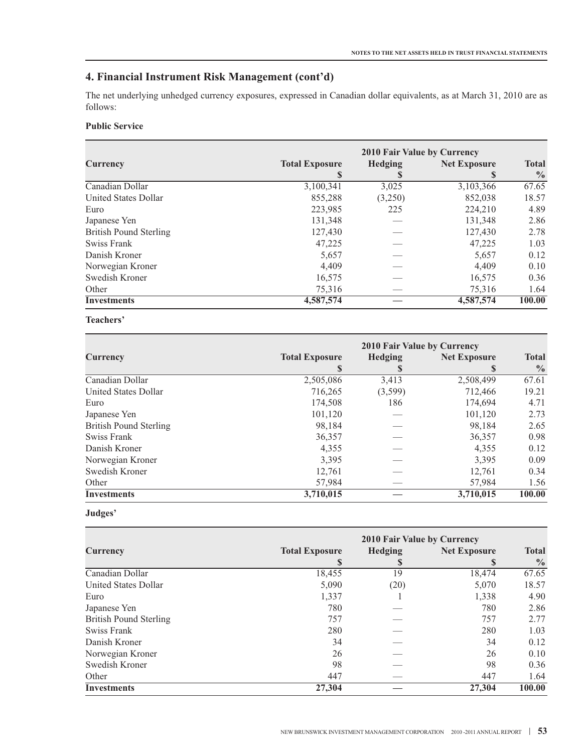The net underlying unhedged currency exposures, expressed in Canadian dollar equivalents, as at March 31, 2010 are as follows:

#### **Public Service**

|                               | 2010 Fair Value by Currency |                |                     |               |  |  |  |  |
|-------------------------------|-----------------------------|----------------|---------------------|---------------|--|--|--|--|
| <b>Currency</b>               | <b>Total Exposure</b>       | <b>Hedging</b> | <b>Net Exposure</b> | <b>Total</b>  |  |  |  |  |
|                               | S                           | S              | S                   | $\frac{0}{0}$ |  |  |  |  |
| Canadian Dollar               | 3,100,341                   | 3,025          | 3,103,366           | 67.65         |  |  |  |  |
| United States Dollar          | 855,288                     | (3,250)        | 852,038             | 18.57         |  |  |  |  |
| Euro                          | 223,985                     | 225            | 224,210             | 4.89          |  |  |  |  |
| Japanese Yen                  | 131,348                     |                | 131,348             | 2.86          |  |  |  |  |
| <b>British Pound Sterling</b> | 127,430                     |                | 127,430             | 2.78          |  |  |  |  |
| Swiss Frank                   | 47,225                      |                | 47,225              | 1.03          |  |  |  |  |
| Danish Kroner                 | 5,657                       |                | 5,657               | 0.12          |  |  |  |  |
| Norwegian Kroner              | 4,409                       |                | 4,409               | 0.10          |  |  |  |  |
| Swedish Kroner                | 16,575                      |                | 16,575              | 0.36          |  |  |  |  |
| Other                         | 75,316                      |                | 75,316              | 1.64          |  |  |  |  |
| <b>Investments</b>            | 4,587,574                   |                | 4,587,574           | 100.00        |  |  |  |  |

#### **Teachers'**

|                               | 2010 Fair Value by Currency |                |                     |               |  |  |  |
|-------------------------------|-----------------------------|----------------|---------------------|---------------|--|--|--|
| Currency                      | <b>Total Exposure</b>       | <b>Hedging</b> | <b>Net Exposure</b> | <b>Total</b>  |  |  |  |
|                               | S                           | S              | S                   | $\frac{0}{0}$ |  |  |  |
| Canadian Dollar               | 2,505,086                   | 3,413          | 2,508,499           | 67.61         |  |  |  |
| United States Dollar          | 716,265                     | (3,599)        | 712,466             | 19.21         |  |  |  |
| Euro                          | 174,508                     | 186            | 174,694             | 4.71          |  |  |  |
| Japanese Yen                  | 101,120                     |                | 101,120             | 2.73          |  |  |  |
| <b>British Pound Sterling</b> | 98.184                      |                | 98.184              | 2.65          |  |  |  |
| Swiss Frank                   | 36,357                      |                | 36,357              | 0.98          |  |  |  |
| Danish Kroner                 | 4,355                       |                | 4,355               | 0.12          |  |  |  |
| Norwegian Kroner              | 3,395                       |                | 3,395               | 0.09          |  |  |  |
| Swedish Kroner                | 12,761                      |                | 12,761              | 0.34          |  |  |  |
| Other                         | 57,984                      |                | 57,984              | 1.56          |  |  |  |
| <b>Investments</b>            | 3,710,015                   |                | 3,710,015           | 100.00        |  |  |  |

#### **Judges'**

|                               | 2010 Fair Value by Currency |                |                     |               |  |  |  |  |
|-------------------------------|-----------------------------|----------------|---------------------|---------------|--|--|--|--|
| Currency                      | <b>Total Exposure</b>       | <b>Hedging</b> | <b>Net Exposure</b> | <b>Total</b>  |  |  |  |  |
|                               | S                           | S              |                     | $\frac{0}{0}$ |  |  |  |  |
| Canadian Dollar               | 18,455                      | 19             | 18,474              | 67.65         |  |  |  |  |
| <b>United States Dollar</b>   | 5.090                       | (20)           | 5,070               | 18.57         |  |  |  |  |
| Euro                          | 1,337                       |                | 1,338               | 4.90          |  |  |  |  |
| Japanese Yen                  | 780                         |                | 780                 | 2.86          |  |  |  |  |
| <b>British Pound Sterling</b> | 757                         |                | 757                 | 2.77          |  |  |  |  |
| Swiss Frank                   | 280                         |                | 280                 | 1.03          |  |  |  |  |
| Danish Kroner                 | 34                          |                | 34                  | 0.12          |  |  |  |  |
| Norwegian Kroner              | 26                          |                | 26                  | 0.10          |  |  |  |  |
| Swedish Kroner                | 98                          |                | 98                  | 0.36          |  |  |  |  |
| Other                         | 447                         |                | 447                 | 1.64          |  |  |  |  |
| <b>Investments</b>            | 27,304                      |                | 27,304              | 100.00        |  |  |  |  |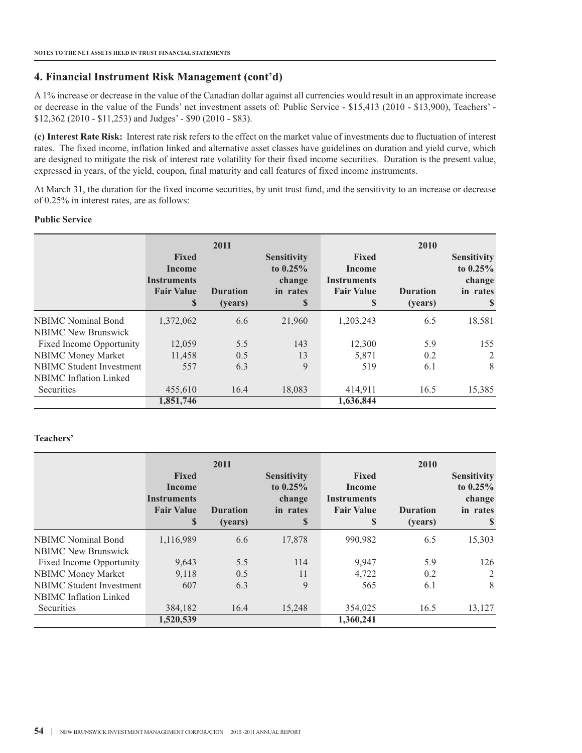A 1% increase or decrease in the value of the Canadian dollar against all currencies would result in an approximate increase or decrease in the value of the Funds' net investment assets of: Public Service - \$15,413 (2010 - \$13,900), Teachers' - \$12,362 (2010 - \$11,253) and Judges' - \$90 (2010 - \$83).

**(c) Interest Rate Risk:** Interest rate risk refers to the effect on the market value of investments due to fluctuation of interest rates. The fixed income, inflation linked and alternative asset classes have guidelines on duration and yield curve, which are designed to mitigate the risk of interest rate volatility for their fixed income securities. Duration is the present value, expressed in years, of the yield, coupon, final maturity and call features of fixed income instruments.

At March 31, the duration for the fixed income securities, by unit trust fund, and the sensitivity to an increase or decrease of 0.25% in interest rates, are as follows:

#### **Public Service**

|                                 | <b>Fixed</b><br>Income<br><b>Instruments</b><br><b>Fair Value</b><br>S | 2011<br><b>Duration</b><br>(vears) | <b>Sensitivity</b><br>to $0.25\%$<br>change<br>in rates<br>\$ | <b>Fixed</b><br>Income<br><b>Instruments</b><br><b>Fair Value</b><br>S | 2010<br><b>Duration</b><br>(years) | <b>Sensitivity</b><br>to $0.25\%$<br>change<br>in rates<br>S |
|---------------------------------|------------------------------------------------------------------------|------------------------------------|---------------------------------------------------------------|------------------------------------------------------------------------|------------------------------------|--------------------------------------------------------------|
| <b>NBIMC</b> Nominal Bond       | 1,372,062                                                              | 6.6                                | 21,960                                                        | 1,203,243                                                              | 6.5                                | 18,581                                                       |
| <b>NBIMC</b> New Brunswick      |                                                                        |                                    |                                                               |                                                                        |                                    |                                                              |
| <b>Fixed Income Opportunity</b> | 12,059                                                                 | 5.5                                | 143                                                           | 12,300                                                                 | 5.9                                | 155                                                          |
| <b>NBIMC Money Market</b>       | 11,458                                                                 | 0.5                                | 13                                                            | 5.871                                                                  | 0.2                                | 2                                                            |
| <b>NBIMC</b> Student Investment | 557                                                                    | 6.3                                | 9                                                             | 519                                                                    | 6.1                                | 8                                                            |
| <b>NBIMC</b> Inflation Linked   |                                                                        |                                    |                                                               |                                                                        |                                    |                                                              |
| <b>Securities</b>               | 455,610                                                                | 16.4                               | 18,083                                                        | 414,911                                                                | 16.5                               | 15,385                                                       |
|                                 | 1,851,746                                                              |                                    |                                                               | 1,636,844                                                              |                                    |                                                              |

#### **Teachers'**

|                                 | <b>Fixed</b><br>Income<br><b>Instruments</b><br><b>Fair Value</b><br>S | 2011<br><b>Duration</b><br>(years) | <b>Sensitivity</b><br>to $0.25%$<br>change<br>in rates<br>\$ | <b>Fixed</b><br>Income<br><b>Instruments</b><br><b>Fair Value</b><br>S | 2010<br><b>Duration</b><br>(years) | <b>Sensitivity</b><br>to $0.25\%$<br>change<br>in rates<br><sup>\$</sup> |
|---------------------------------|------------------------------------------------------------------------|------------------------------------|--------------------------------------------------------------|------------------------------------------------------------------------|------------------------------------|--------------------------------------------------------------------------|
| <b>NBIMC</b> Nominal Bond       | 1,116,989                                                              | 6.6                                | 17,878                                                       | 990,982                                                                | 6.5                                | 15,303                                                                   |
| <b>NBIMC</b> New Brunswick      |                                                                        |                                    |                                                              |                                                                        |                                    |                                                                          |
| Fixed Income Opportunity        | 9,643                                                                  | 5.5                                | 114                                                          | 9,947                                                                  | 5.9                                | 126                                                                      |
| <b>NBIMC Money Market</b>       | 9,118                                                                  | 0.5                                | 11                                                           | 4,722                                                                  | 0.2                                | 2                                                                        |
| <b>NBIMC</b> Student Investment | 607                                                                    | 6.3                                | 9                                                            | 565                                                                    | 6.1                                | 8                                                                        |
| <b>NBIMC</b> Inflation Linked   |                                                                        |                                    |                                                              |                                                                        |                                    |                                                                          |
| <b>Securities</b>               | 384,182                                                                | 16.4                               | 15,248                                                       | 354,025                                                                | 16.5                               | 13,127                                                                   |
|                                 | 1,520,539                                                              |                                    |                                                              | 1,360,241                                                              |                                    |                                                                          |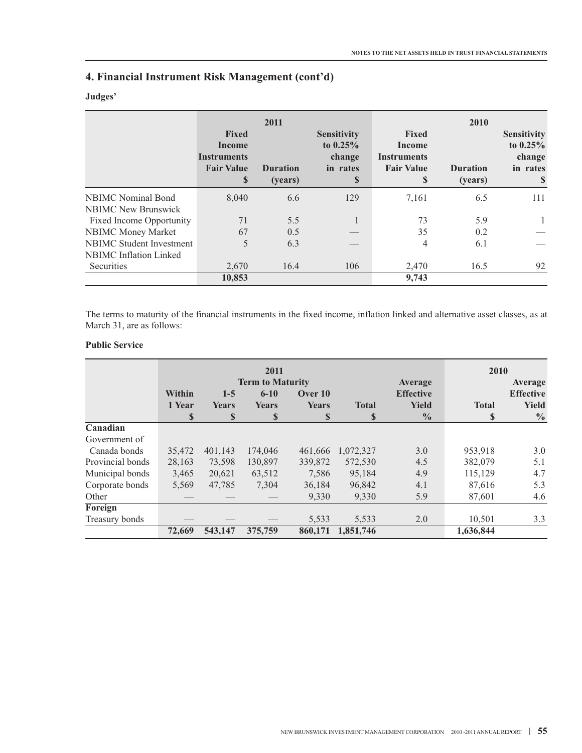## **Judges'**

|                                 | <b>Fixed</b><br>Income<br><b>Instruments</b><br><b>Fair Value</b><br>S | 2011<br><b>Duration</b><br>(years) | <b>Sensitivity</b><br>to $0.25\%$<br>change<br>in rates<br>$\boldsymbol{\mathsf{s}}$ | <b>Fixed</b><br>Income<br><b>Instruments</b><br><b>Fair Value</b><br><sup>\$</sup> | 2010<br><b>Duration</b><br>(years) | <b>Sensitivity</b><br>to $0.25\%$<br>change<br>in rates<br><sup>S</sup> |
|---------------------------------|------------------------------------------------------------------------|------------------------------------|--------------------------------------------------------------------------------------|------------------------------------------------------------------------------------|------------------------------------|-------------------------------------------------------------------------|
| <b>NBIMC</b> Nominal Bond       | 8.040                                                                  | 6.6                                | 129                                                                                  | 7,161                                                                              | 6.5                                | 111                                                                     |
| <b>NBIMC</b> New Brunswick      |                                                                        |                                    |                                                                                      |                                                                                    |                                    |                                                                         |
| Fixed Income Opportunity        | 71                                                                     | 5.5                                | $\mathbf{1}$                                                                         | 73                                                                                 | 5.9                                | 1                                                                       |
| <b>NBIMC Money Market</b>       | 67                                                                     | 0.5                                |                                                                                      | 35                                                                                 | 0.2                                |                                                                         |
| <b>NBIMC</b> Student Investment | 5                                                                      | 6.3                                |                                                                                      | 4                                                                                  | 6.1                                |                                                                         |
| <b>NBIMC</b> Inflation Linked   |                                                                        |                                    |                                                                                      |                                                                                    |                                    |                                                                         |
| Securities                      | 2,670                                                                  | 16.4                               | 106                                                                                  | 2,470                                                                              | 16.5                               | 92                                                                      |
|                                 | 10,853                                                                 |                                    |                                                                                      | 9,743                                                                              |                                    |                                                                         |

The terms to maturity of the financial instruments in the fixed income, inflation linked and alternative asset classes, as at March 31, are as follows:

## **Public Service**

|                  |                 | 2011<br><b>Term to Maturity</b> |                      |             |                             | Average                       | 2010<br>Average             |                               |
|------------------|-----------------|---------------------------------|----------------------|-------------|-----------------------------|-------------------------------|-----------------------------|-------------------------------|
|                  | Within<br>$1-5$ |                                 | $6 - 10$             | Over 10     |                             | <b>Effective</b>              |                             | <b>Effective</b>              |
|                  | 1 Year<br>S     | Years<br>$\mathbf S$            | Years<br>$\mathbf S$ | Years<br>\$ | <b>Total</b><br>$\mathbf S$ | <b>Yield</b><br>$\frac{0}{0}$ | <b>Total</b><br>$\mathbf S$ | <b>Yield</b><br>$\frac{0}{0}$ |
| Canadian         |                 |                                 |                      |             |                             |                               |                             |                               |
| Government of    |                 |                                 |                      |             |                             |                               |                             |                               |
| Canada bonds     | 35,472          | 401,143                         | 174,046              | 461,666     | 1,072,327                   | 3.0                           | 953,918                     | 3.0                           |
| Provincial bonds | 28,163          | 73,598                          | 130,897              | 339,872     | 572,530                     | 4.5                           | 382,079                     | 5.1                           |
| Municipal bonds  | 3,465           | 20,621                          | 63,512               | 7,586       | 95,184                      | 4.9                           | 115,129                     | 4.7                           |
| Corporate bonds  | 5,569           | 47,785                          | 7.304                | 36,184      | 96,842                      | 4.1                           | 87,616                      | 5.3                           |
| Other            |                 |                                 |                      | 9,330       | 9,330                       | 5.9                           | 87,601                      | 4.6                           |
| Foreign          |                 |                                 |                      |             |                             |                               |                             |                               |
| Treasury bonds   |                 |                                 |                      | 5,533       | 5,533                       | 2.0                           | 10,501                      | 3.3                           |
|                  | 72,669          | 543,147                         | 375,759              | 860,171     | 1,851,746                   |                               | 1,636,844                   |                               |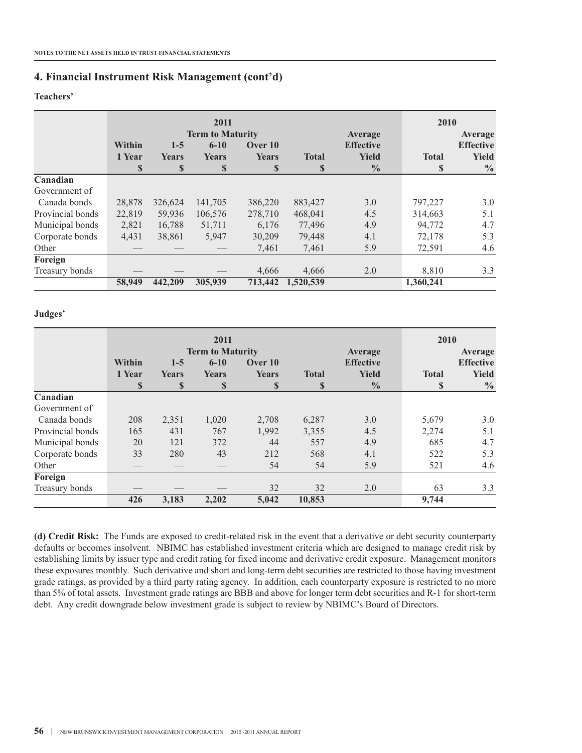#### **Teachers'**

|                  |                        | 2011<br><b>Term to Maturity</b> |                                         |                       |                    | Average                                           | 2010<br>Average    |                                                   |
|------------------|------------------------|---------------------------------|-----------------------------------------|-----------------------|--------------------|---------------------------------------------------|--------------------|---------------------------------------------------|
|                  | Within<br>1 Year<br>\$ | $1 - 5$<br><b>Years</b><br>\$   | $6 - 10$<br><b>Years</b><br>$\mathbf S$ | Over 10<br>Years<br>S | <b>Total</b><br>\$ | <b>Effective</b><br><b>Yield</b><br>$\frac{6}{9}$ | <b>Total</b><br>\$ | <b>Effective</b><br><b>Yield</b><br>$\frac{0}{0}$ |
| Canadian         |                        |                                 |                                         |                       |                    |                                                   |                    |                                                   |
| Government of    |                        |                                 |                                         |                       |                    |                                                   |                    |                                                   |
| Canada bonds     | 28,878                 | 326,624                         | 141,705                                 | 386,220               | 883,427            | 3.0                                               | 797,227            | 3.0                                               |
| Provincial bonds | 22,819                 | 59,936                          | 106,576                                 | 278,710               | 468,041            | 4.5                                               | 314,663            | 5.1                                               |
| Municipal bonds  | 2,821                  | 16,788                          | 51,711                                  | 6.176                 | 77,496             | 4.9                                               | 94,772             | 4.7                                               |
| Corporate bonds  | 4,431                  | 38,861                          | 5,947                                   | 30,209                | 79,448             | 4.1                                               | 72,178             | 5.3                                               |
| Other            |                        |                                 |                                         | 7,461                 | 7,461              | 5.9                                               | 72,591             | 4.6                                               |
| Foreign          |                        |                                 |                                         |                       |                    |                                                   |                    |                                                   |
| Treasury bonds   |                        |                                 |                                         | 4,666                 | 4,666              | 2.0                                               | 8,810              | 3.3                                               |
|                  | 58,949                 | 442,209                         | 305,939                                 | 713,442               | 1.520.539          |                                                   | 1,360,241          |                                                   |

#### **Judges'**

|                  |             | 2011<br><b>Term to Maturity</b> |              |                  |              | Average          | 2010<br>Average |               |
|------------------|-------------|---------------------------------|--------------|------------------|--------------|------------------|-----------------|---------------|
|                  | Within      | $6 - 10$<br>$1-5$<br>Over 10    |              | <b>Effective</b> |              | <b>Effective</b> |                 |               |
|                  | 1 Year      | Years                           | Years        | Years            | <b>Total</b> | <b>Yield</b>     | <b>Total</b>    | <b>Yield</b>  |
|                  | $\mathbf S$ | S                               | <sup>S</sup> | $\mathbf S$      | $\mathbf S$  | $\frac{0}{0}$    | \$              | $\frac{0}{0}$ |
| Canadian         |             |                                 |              |                  |              |                  |                 |               |
| Government of    |             |                                 |              |                  |              |                  |                 |               |
| Canada bonds     | 208         | 2,351                           | 1,020        | 2,708            | 6,287        | 3.0              | 5,679           | 3.0           |
| Provincial bonds | 165         | 431                             | 767          | 1,992            | 3,355        | 4.5              | 2,274           | 5.1           |
| Municipal bonds  | 20          | 121                             | 372          | 44               | 557          | 4.9              | 685             | 4.7           |
| Corporate bonds  | 33          | 280                             | 43           | 212              | 568          | 4.1              | 522             | 5.3           |
| Other            |             |                                 |              | 54               | 54           | 5.9              | 521             | 4.6           |
| Foreign          |             |                                 |              |                  |              |                  |                 |               |
| Treasury bonds   |             |                                 |              | 32               | 32           | 2.0              | 63              | 3.3           |
|                  | 426         | 3,183                           | 2,202        | 5.042            | 10,853       |                  | 9,744           |               |

**(d) Credit Risk:** The Funds are exposed to credit-related risk in the event that a derivative or debt security counterparty defaults or becomes insolvent. NBIMC has established investment criteria which are designed to manage credit risk by establishing limits by issuer type and credit rating for fixed income and derivative credit exposure. Management monitors these exposures monthly. Such derivative and short and long-term debt securities are restricted to those having investment grade ratings, as provided by a third party rating agency. In addition, each counterparty exposure is restricted to no more than 5% of total assets. Investment grade ratings are BBB and above for longer term debt securities and R-1 for short-term debt. Any credit downgrade below investment grade is subject to review by NBIMC's Board of Directors.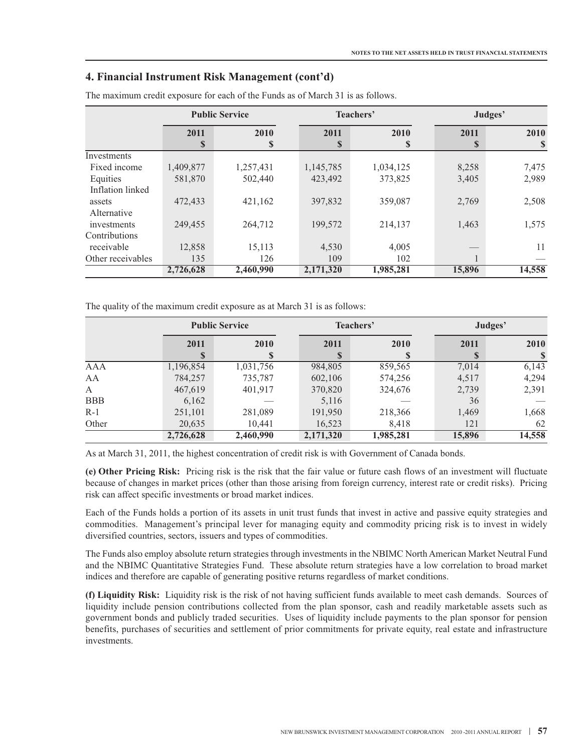|                   |              | <b>Public Service</b> |             | Teachers' | Judges' |        |  |
|-------------------|--------------|-----------------------|-------------|-----------|---------|--------|--|
|                   | 2011<br>2010 |                       | 2011        | 2010      | 2011    | 2010   |  |
|                   | \$           | \$                    | $\mathbf S$ | S         | \$      | S      |  |
| Investments       |              |                       |             |           |         |        |  |
| Fixed income      | 1,409,877    | 1,257,431             | 1,145,785   | 1,034,125 | 8,258   | 7,475  |  |
| Equities          | 581,870      | 502,440               | 423,492     | 373,825   | 3,405   | 2,989  |  |
| Inflation linked  |              |                       |             |           |         |        |  |
| assets            | 472,433      | 421,162               | 397,832     | 359,087   | 2,769   | 2,508  |  |
| Alternative       |              |                       |             |           |         |        |  |
| investments       | 249,455      | 264,712               | 199,572     | 214,137   | 1,463   | 1,575  |  |
| Contributions     |              |                       |             |           |         |        |  |
| receivable        | 12,858       | 15,113                | 4,530       | 4,005     |         | 11     |  |
| Other receivables | 135          | 126                   | 109         | 102       |         |        |  |
|                   | 2,726,628    | 2,460,990             | 2,171,320   | 1,985,281 | 15,896  | 14,558 |  |

The maximum credit exposure for each of the Funds as of March 31 is as follows.

The quality of the maximum credit exposure as at March 31 is as follows:

|              |              | <b>Public Service</b> |             | Teachers' |        | Judges' |  |  |
|--------------|--------------|-----------------------|-------------|-----------|--------|---------|--|--|
|              | 2011<br>2010 |                       | 2011        | 2010      | 2011   | 2010    |  |  |
|              | S            |                       | $\mathbf S$ |           | S      |         |  |  |
| AAA          | 1,196,854    | 1,031,756             | 984,805     | 859,565   | 7,014  | 6,143   |  |  |
| AA           | 784,257      | 735,787               | 602,106     | 574,256   | 4,517  | 4,294   |  |  |
| $\mathbf{A}$ | 467,619      | 401,917               | 370,820     | 324,676   | 2,739  | 2,391   |  |  |
| <b>BBB</b>   | 6,162        |                       | 5,116       |           | 36     |         |  |  |
| $R-1$        | 251,101      | 281,089               | 191,950     | 218,366   | 1,469  | 1,668   |  |  |
| Other        | 20,635       | 10.441                | 16,523      | 8,418     | 121    | 62      |  |  |
|              | 2,726,628    | 2,460,990             | 2,171,320   | 1,985,281 | 15,896 | 14,558  |  |  |

As at March 31, 2011, the highest concentration of credit risk is with Government of Canada bonds.

**(e) Other Pricing Risk:** Pricing risk is the risk that the fair value or future cash flows of an investment will fluctuate because of changes in market prices (other than those arising from foreign currency, interest rate or credit risks). Pricing risk can affect specific investments or broad market indices.

Each of the Funds holds a portion of its assets in unit trust funds that invest in active and passive equity strategies and commodities. Management's principal lever for managing equity and commodity pricing risk is to invest in widely diversified countries, sectors, issuers and types of commodities.

The Funds also employ absolute return strategies through investments in the NBIMC North American Market Neutral Fund and the NBIMC Quantitative Strategies Fund. These absolute return strategies have a low correlation to broad market indices and therefore are capable of generating positive returns regardless of market conditions.

**(f) Liquidity Risk:** Liquidity risk is the risk of not having sufficient funds available to meet cash demands. Sources of liquidity include pension contributions collected from the plan sponsor, cash and readily marketable assets such as government bonds and publicly traded securities. Uses of liquidity include payments to the plan sponsor for pension benefits, purchases of securities and settlement of prior commitments for private equity, real estate and infrastructure investments.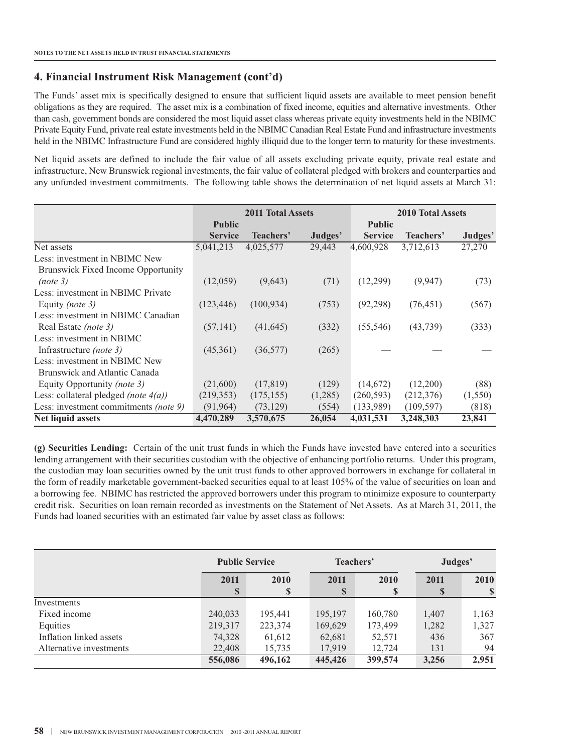The Funds' asset mix is specifically designed to ensure that sufficient liquid assets are available to meet pension benefit obligations as they are required. The asset mix is a combination of fixed income, equities and alternative investments. Other than cash, government bonds are considered the most liquid asset class whereas private equity investments held in the NBIMC Private Equity Fund, private real estate investments held in the NBIMC Canadian Real Estate Fund and infrastructure investments held in the NBIMC Infrastructure Fund are considered highly illiquid due to the longer term to maturity for these investments.

Net liquid assets are defined to include the fair value of all assets excluding private equity, private real estate and infrastructure, New Brunswick regional investments, the fair value of collateral pledged with brokers and counterparties and any unfunded investment commitments. The following table shows the determination of net liquid assets at March 31:

|                                              | <b>2011 Total Assets</b> |            |         |                | <b>2010 Total Assets</b> |         |  |  |
|----------------------------------------------|--------------------------|------------|---------|----------------|--------------------------|---------|--|--|
|                                              | <b>Public</b>            |            |         | <b>Public</b>  |                          |         |  |  |
|                                              | <b>Service</b>           | Teachers'  | Judges' | <b>Service</b> | Teachers'                | Judges' |  |  |
| Net assets                                   | 5,041,213                | 4,025,577  | 29,443  | 4,600,928      | 3,712,613                | 27,270  |  |  |
| Less: investment in NBIMC New                |                          |            |         |                |                          |         |  |  |
| <b>Brunswick Fixed Income Opportunity</b>    |                          |            |         |                |                          |         |  |  |
| (note 3)                                     | (12,059)                 | (9,643)    | (71)    | (12,299)       | (9,947)                  | (73)    |  |  |
| Less: investment in NBIMC Private            |                          |            |         |                |                          |         |  |  |
| Equity (note 3)                              | (123, 446)               | (100, 934) | (753)   | (92, 298)      | (76, 451)                | (567)   |  |  |
| Less: investment in NBIMC Canadian           |                          |            |         |                |                          |         |  |  |
| Real Estate <i>(note 3)</i>                  | (57, 141)                | (41, 645)  | (332)   | (55, 546)      | (43, 739)                | (333)   |  |  |
| Less: investment in NBIMC                    |                          |            |         |                |                          |         |  |  |
| Infrastructure <i>(note 3)</i>               | (45,361)                 | (36, 577)  | (265)   |                |                          |         |  |  |
| Less: investment in NBIMC New                |                          |            |         |                |                          |         |  |  |
| Brunswick and Atlantic Canada                |                          |            |         |                |                          |         |  |  |
| Equity Opportunity (note 3)                  | (21,600)                 | (17, 819)  | (129)   | (14,672)       | (12,200)                 | (88)    |  |  |
| Less: collateral pledged (note $4(a)$ )      | (219, 353)               | (175, 155) | (1,285) | (260, 593)     | (212,376)                | (1,550) |  |  |
| Less: investment commitments <i>(note 9)</i> | (91, 964)                | (73, 129)  | (554)   | (133,989)      | (109, 597)               | (818)   |  |  |
| Net liquid assets                            | 4,470,289                | 3,570,675  | 26,054  | 4,031,531      | 3,248,303                | 23,841  |  |  |

**(g) Securities Lending:** Certain of the unit trust funds in which the Funds have invested have entered into a securities lending arrangement with their securities custodian with the objective of enhancing portfolio returns. Under this program, the custodian may loan securities owned by the unit trust funds to other approved borrowers in exchange for collateral in the form of readily marketable government-backed securities equal to at least 105% of the value of securities on loan and a borrowing fee. NBIMC has restricted the approved borrowers under this program to minimize exposure to counterparty credit risk. Securities on loan remain recorded as investments on the Statement of Net Assets. As at March 31, 2011, the Funds had loaned securities with an estimated fair value by asset class as follows:

|                         | <b>Public Service</b> |         | Teachers'  |           | Judges'   |             |
|-------------------------|-----------------------|---------|------------|-----------|-----------|-------------|
|                         | 2011<br><sup>S</sup>  | 2010    | 2011<br>\$ | 2010<br>S | 2011<br>S | <b>2010</b> |
| Investments             |                       |         |            |           |           |             |
| Fixed income            | 240,033               | 195,441 | 195,197    | 160,780   | 1,407     | 1,163       |
| Equities                | 219,317               | 223,374 | 169,629    | 173,499   | 1,282     | 1,327       |
| Inflation linked assets | 74,328                | 61,612  | 62,681     | 52,571    | 436       | 367         |
| Alternative investments | 22,408                | 15,735  | 17,919     | 12,724    | 131       | 94          |
|                         | 556,086               | 496,162 | 445,426    | 399,574   | 3,256     | 2,951       |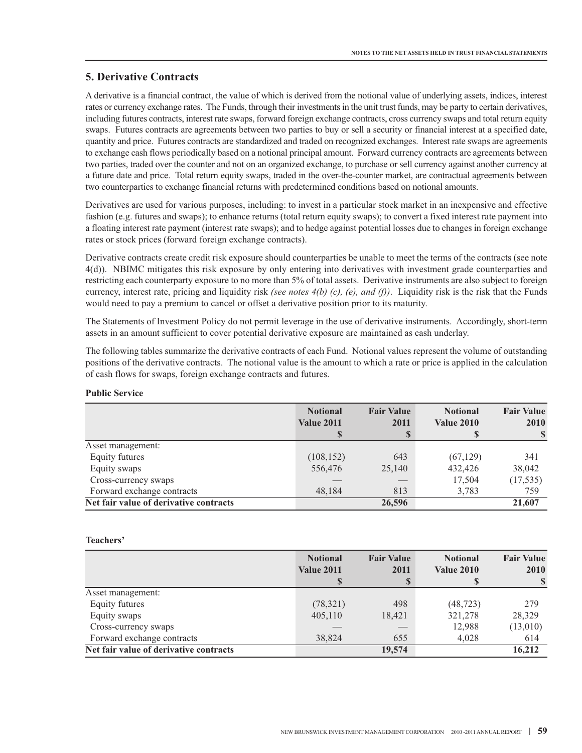# **5. Derivative Contracts**

A derivative is a financial contract, the value of which is derived from the notional value of underlying assets, indices, interest rates or currency exchange rates. The Funds, through their investments in the unit trust funds, may be party to certain derivatives, including futures contracts, interest rate swaps, forward foreign exchange contracts, cross currency swaps and total return equity swaps. Futures contracts are agreements between two parties to buy or sell a security or financial interest at a specified date, quantity and price. Futures contracts are standardized and traded on recognized exchanges. Interest rate swaps are agreements to exchange cash flows periodically based on a notional principal amount. Forward currency contracts are agreements between two parties, traded over the counter and not on an organized exchange, to purchase or sell currency against another currency at a future date and price. Total return equity swaps, traded in the over-the-counter market, are contractual agreements between two counterparties to exchange financial returns with predetermined conditions based on notional amounts.

Derivatives are used for various purposes, including: to invest in a particular stock market in an inexpensive and effective fashion (e.g. futures and swaps); to enhance returns (total return equity swaps); to convert a fixed interest rate payment into a floating interest rate payment (interest rate swaps); and to hedge against potential losses due to changes in foreign exchange rates or stock prices (forward foreign exchange contracts).

Derivative contracts create credit risk exposure should counterparties be unable to meet the terms of the contracts (see note 4(d)). NBIMC mitigates this risk exposure by only entering into derivatives with investment grade counterparties and restricting each counterparty exposure to no more than 5% of total assets. Derivative instruments are also subject to foreign currency, interest rate, pricing and liquidity risk *(see notes 4(b) (c), (e), and (f))*. Liquidity risk is the risk that the Funds would need to pay a premium to cancel or offset a derivative position prior to its maturity.

The Statements of Investment Policy do not permit leverage in the use of derivative instruments. Accordingly, short-term assets in an amount sufficient to cover potential derivative exposure are maintained as cash underlay.

The following tables summarize the derivative contracts of each Fund. Notional values represent the volume of outstanding positions of the derivative contracts. The notional value is the amount to which a rate or price is applied in the calculation of cash flows for swaps, foreign exchange contracts and futures.

#### **Public Service**

|                                        | <b>Notional</b><br><b>Value 2011</b> | <b>Fair Value</b><br>2011<br>\$ | <b>Notional</b><br><b>Value 2010</b> | <b>Fair Value</b><br>2010 |
|----------------------------------------|--------------------------------------|---------------------------------|--------------------------------------|---------------------------|
| Asset management:                      |                                      |                                 |                                      |                           |
| Equity futures                         | (108, 152)                           | 643                             | (67, 129)                            | 341                       |
| Equity swaps                           | 556,476                              | 25,140                          | 432,426                              | 38,042                    |
| Cross-currency swaps                   |                                      |                                 | 17,504                               | (17, 535)                 |
| Forward exchange contracts             | 48,184                               | 813                             | 3,783                                | 759                       |
| Net fair value of derivative contracts |                                      | 26,596                          |                                      | 21,607                    |

#### **Teachers'**

|                                        | <b>Notional</b><br><b>Value 2011</b> | <b>Fair Value</b><br>2011 | <b>Notional</b><br><b>Value 2010</b> | <b>Fair Value</b><br><b>2010</b> |
|----------------------------------------|--------------------------------------|---------------------------|--------------------------------------|----------------------------------|
|                                        |                                      | S                         |                                      |                                  |
| Asset management:                      |                                      |                           |                                      |                                  |
| Equity futures                         | (78, 321)                            | 498                       | (48, 723)                            | 279                              |
| Equity swaps                           | 405,110                              | 18,421                    | 321,278                              | 28,329                           |
| Cross-currency swaps                   |                                      |                           | 12,988                               | (13,010)                         |
| Forward exchange contracts             | 38,824                               | 655                       | 4,028                                | 614                              |
| Net fair value of derivative contracts |                                      | 19,574                    |                                      | 16,212                           |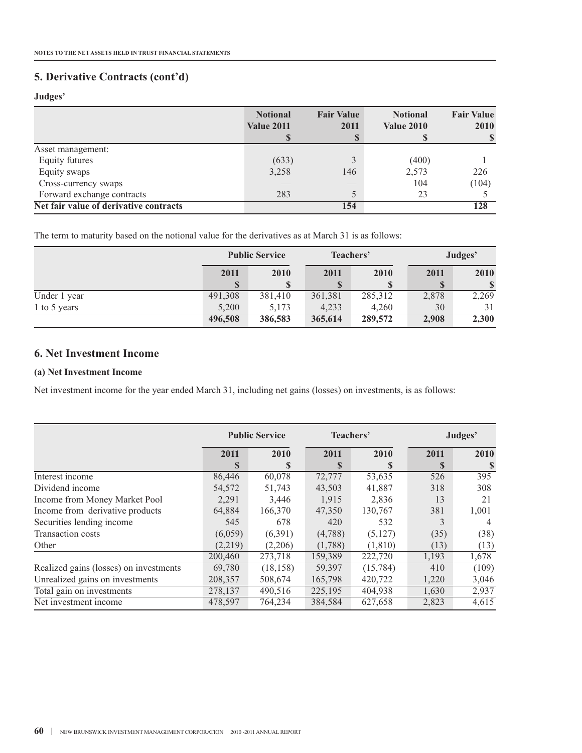# **5. Derivative Contracts (cont'd)**

## **Judges'**

|                                        | <b>Notional</b><br><b>Value 2011</b> | <b>Fair Value</b><br>2011<br>S | <b>Notional</b><br><b>Value 2010</b> | <b>Fair Value</b><br><b>2010</b> |
|----------------------------------------|--------------------------------------|--------------------------------|--------------------------------------|----------------------------------|
| Asset management:                      |                                      |                                |                                      |                                  |
| Equity futures                         | (633)                                | 3                              | (400)                                |                                  |
| Equity swaps                           | 3,258                                | 146                            | 2,573                                | 226                              |
| Cross-currency swaps                   |                                      | ___                            | 104                                  | (104)                            |
| Forward exchange contracts             | 283                                  |                                | 23                                   |                                  |
| Net fair value of derivative contracts |                                      | 154                            |                                      | 128                              |

The term to maturity based on the notional value for the derivatives as at March 31 is as follows:

|              | <b>Public Service</b> |         | Teachers' |         | Judges' |             |
|--------------|-----------------------|---------|-----------|---------|---------|-------------|
|              | 2011                  | 2010    | 2011      | 2010    | 2011    | 2010        |
|              |                       |         | S         | S       |         | $\mathbf S$ |
| Under 1 year | 491,308               | 381,410 | 361,381   | 285,312 | 2,878   | 2,269       |
| 1 to 5 years | 5,200                 | 5,173   | 4,233     | 4.260   | 30      | 31          |
|              | 496,508               | 386,583 | 365,614   | 289,572 | 2,908   | 2,300       |

## **6. Net Investment Income**

#### **(a) Net Investment Income**

Net investment income for the year ended March 31, including net gains (losses) on investments, is as follows:

|                                        | <b>Public Service</b> |           | Teachers' |          | Judges'     |       |
|----------------------------------------|-----------------------|-----------|-----------|----------|-------------|-------|
|                                        | 2011                  | 2010      | 2011      | 2010     | 2011        | 2010  |
|                                        | \$                    | S         | S         | S        | $\mathbf S$ | S     |
| Interest income                        | 86,446                | 60,078    | 72,777    | 53,635   | 526         | 395   |
| Dividend income                        | 54,572                | 51,743    | 43,503    | 41,887   | 318         | 308   |
| Income from Money Market Pool          | 2,291                 | 3,446     | 1,915     | 2,836    | 13          | 21    |
| Income from derivative products        | 64,884                | 166,370   | 47,350    | 130,767  | 381         | 1,001 |
| Securities lending income              | 545                   | 678       | 420       | 532      | 3           | 4     |
| <b>Transaction costs</b>               | (6,059)               | (6,391)   | (4,788)   | (5, 127) | (35)        | (38)  |
| Other                                  | (2,219)               | (2,206)   | (1,788)   | (1, 810) | (13)        | (13)  |
|                                        | 200,460               | 273,718   | 159,389   | 222,720  | 1,193       | 1,678 |
| Realized gains (losses) on investments | 69,780                | (18, 158) | 59,397    | (15,784) | 410         | (109) |
| Unrealized gains on investments        | 208,357               | 508,674   | 165,798   | 420,722  | 1,220       | 3,046 |
| Total gain on investments              | 278,137               | 490,516   | 225,195   | 404,938  | 1,630       | 2,937 |
| Net investment income                  | 478,597               | 764,234   | 384,584   | 627,658  | 2,823       | 4,615 |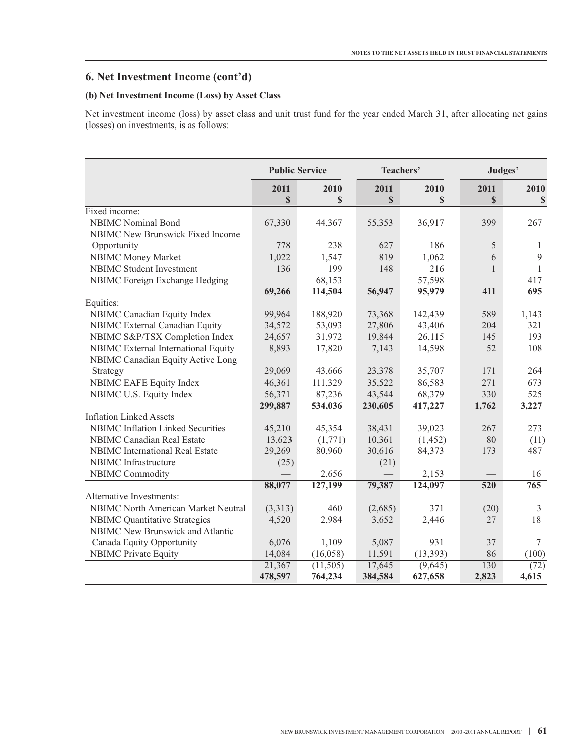# **6. Net Investment Income (cont'd)**

## **(b) Net Investment Income (Loss) by Asset Class**

Net investment income (loss) by asset class and unit trust fund for the year ended March 31, after allocating net gains (losses) on investments, is as follows:

|                                            | <b>Public Service</b><br>Teachers' |           |         | Judges'   |                  |                  |
|--------------------------------------------|------------------------------------|-----------|---------|-----------|------------------|------------------|
|                                            | 2011                               | 2010      | 2011    | 2010      | 2011             | 2010             |
|                                            | \$                                 | \$        | \$      | \$        | \$               | \$               |
| Fixed income:                              |                                    |           |         |           |                  |                  |
| <b>NBIMC</b> Nominal Bond                  | 67,330                             | 44,367    | 55,353  | 36,917    | 399              | 267              |
| NBIMC New Brunswick Fixed Income           |                                    |           |         |           |                  |                  |
| Opportunity                                | 778                                | 238       | 627     | 186       | 5                | 1                |
| <b>NBIMC Money Market</b>                  | 1,022                              | 1,547     | 819     | 1,062     | 6                | 9                |
| <b>NBIMC</b> Student Investment            | 136                                | 199       | 148     | 216       | 1                | 1                |
| NBIMC Foreign Exchange Hedging             |                                    | 68,153    |         | 57,598    |                  | 417              |
|                                            | 69,266                             | 114,504   | 56,947  | 95,979    | 411              | $\overline{695}$ |
| Equities:                                  |                                    |           |         |           |                  |                  |
| NBIMC Canadian Equity Index                | 99,964                             | 188,920   | 73,368  | 142,439   | 589              | 1,143            |
| NBIMC External Canadian Equity             | 34,572                             | 53,093    | 27,806  | 43,406    | 204              | 321              |
| NBIMC S&P/TSX Completion Index             | 24,657                             | 31,972    | 19,844  | 26,115    | 145              | 193              |
| NBIMC External International Equity        | 8,893                              | 17,820    | 7,143   | 14,598    | 52               | 108              |
| NBIMC Canadian Equity Active Long          |                                    |           |         |           |                  |                  |
| Strategy                                   | 29,069                             | 43,666    | 23,378  | 35,707    | 171              | 264              |
| NBIMC EAFE Equity Index                    | 46,361                             | 111,329   | 35,522  | 86,583    | 271              | 673              |
| NBIMC U.S. Equity Index                    | 56,371                             | 87,236    | 43,544  | 68,379    | 330              | 525              |
|                                            | 299,887                            | 534,036   | 230,605 | 417,227   | 1,762            | 3,227            |
| <b>Inflation Linked Assets</b>             |                                    |           |         |           |                  |                  |
| <b>NBIMC</b> Inflation Linked Securities   | 45,210                             | 45,354    | 38,431  | 39,023    | 267              | 273              |
| <b>NBIMC</b> Canadian Real Estate          | 13,623                             | (1,771)   | 10,361  | (1, 452)  | 80               | (11)             |
| NBIMC International Real Estate            | 29,269                             | 80,960    | 30,616  | 84,373    | 173              | 487              |
| <b>NBIMC</b> Infrastructure                | (25)                               |           | (21)    |           |                  |                  |
| <b>NBIMC Commodity</b>                     |                                    | 2,656     |         | 2,153     |                  | 16               |
|                                            | 88,077                             | 127,199   | 79,387  | 124,097   | $\overline{520}$ | 765              |
| Alternative Investments:                   |                                    |           |         |           |                  |                  |
| <b>NBIMC North American Market Neutral</b> | (3,313)                            | 460       | (2,685) | 371       | (20)             | 3                |
| <b>NBIMC</b> Quantitative Strategies       | 4,520                              | 2,984     | 3,652   | 2,446     | 27               | 18               |
| <b>NBIMC</b> New Brunswick and Atlantic    |                                    |           |         |           |                  |                  |
| Canada Equity Opportunity                  | 6,076                              | 1,109     | 5,087   | 931       | 37               | $\tau$           |
| <b>NBIMC</b> Private Equity                | 14,084                             | (16,058)  | 11,591  | (13, 393) | 86               | (100)            |
|                                            | 21,367                             | (11, 505) | 17,645  | (9,645)   | 130              | (72)             |
|                                            | 478,597                            | 764,234   | 384,584 | 627,658   | 2,823            | 4,615            |